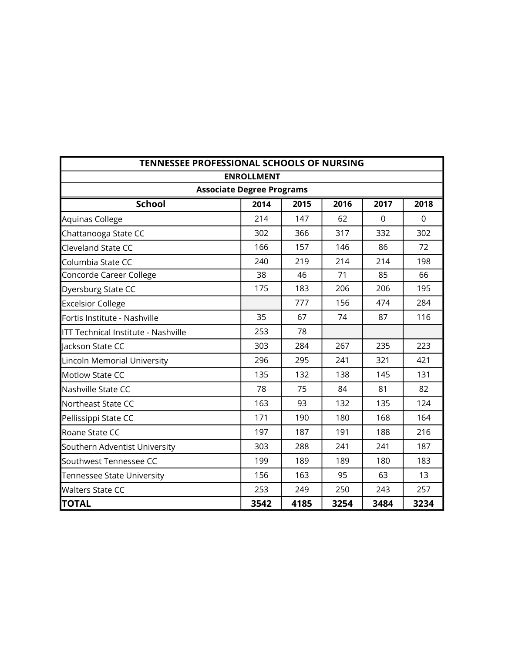| TENNESSEE PROFESSIONAL SCHOOLS OF NURSING |                                  |      |      |          |          |
|-------------------------------------------|----------------------------------|------|------|----------|----------|
|                                           | <b>ENROLLMENT</b>                |      |      |          |          |
|                                           | <b>Associate Degree Programs</b> |      |      |          |          |
| <b>School</b>                             | 2014                             | 2015 | 2016 | 2017     | 2018     |
| Aquinas College                           | 214                              | 147  | 62   | $\Omega$ | $\Omega$ |
| Chattanooga State CC                      | 302                              | 366  | 317  | 332      | 302      |
| Cleveland State CC                        | 166                              | 157  | 146  | 86       | 72       |
| Columbia State CC                         | 240                              | 219  | 214  | 214      | 198      |
| Concorde Career College                   | 38                               | 46   | 71   | 85       | 66       |
| Dyersburg State CC                        | 175                              | 183  | 206  | 206      | 195      |
| <b>Excelsior College</b>                  |                                  | 777  | 156  | 474      | 284      |
| Fortis Institute - Nashville              | 35                               | 67   | 74   | 87       | 116      |
| ITT Technical Institute - Nashville       | 253                              | 78   |      |          |          |
| lackson State CC                          | 303                              | 284  | 267  | 235      | 223      |
| Lincoln Memorial University               | 296                              | 295  | 241  | 321      | 421      |
| Motlow State CC                           | 135                              | 132  | 138  | 145      | 131      |
| Nashville State CC                        | 78                               | 75   | 84   | 81       | 82       |
| Northeast State CC                        | 163                              | 93   | 132  | 135      | 124      |
| Pellissippi State CC                      | 171                              | 190  | 180  | 168      | 164      |
| Roane State CC                            | 197                              | 187  | 191  | 188      | 216      |
| Southern Adventist University             | 303                              | 288  | 241  | 241      | 187      |
| Southwest Tennessee CC                    | 199                              | 189  | 189  | 180      | 183      |
| Tennessee State University                | 156                              | 163  | 95   | 63       | 13       |
| <b>Walters State CC</b>                   | 253                              | 249  | 250  | 243      | 257      |
| <b>TOTAL</b>                              | 3542                             | 4185 | 3254 | 3484     | 3234     |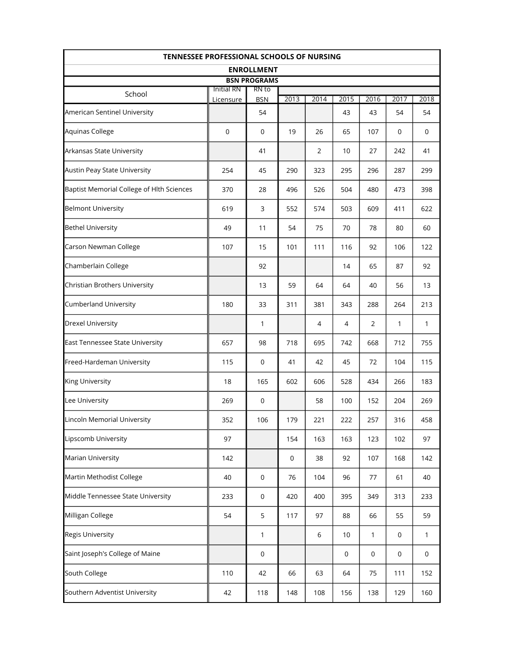|                                           | <b>TENNESSEE PROFESSIONAL SCHOOLS OF NURSING</b> |                              |             |             |             |                |              |              |
|-------------------------------------------|--------------------------------------------------|------------------------------|-------------|-------------|-------------|----------------|--------------|--------------|
|                                           |                                                  | <b>ENROLLMENT</b>            |             |             |             |                |              |              |
|                                           | <b>Initial RN</b>                                | <b>BSN PROGRAMS</b><br>RN to |             |             |             |                |              |              |
| School                                    | Licensure                                        | <b>BSN</b>                   | 2013        | 2014        | 2015        | 2016           | 2017         | 2018         |
| American Sentinel University              |                                                  | 54                           |             |             | 43          | 43             | 54           | 54           |
| Aquinas College                           | $\mathbf 0$                                      | $\boldsymbol{0}$             | 19          | 26          | 65          | 107            | $\mathbf 0$  | 0            |
| Arkansas State University                 |                                                  | 41                           |             | 2           | 10          | 27             | 242          | 41           |
| Austin Peay State University              | 254                                              | 45                           | 290         | 323         | 295         | 296            | 287          | 299          |
| Baptist Memorial College of Hlth Sciences | 370                                              | 28                           | 496         | 526         | 504         | 480            | 473          | 398          |
| <b>Belmont University</b>                 | 619                                              | 3                            | 552         | 574         | 503         | 609            | 411          | 622          |
| <b>Bethel University</b>                  | 49                                               | 11                           | 54          | 75          | 70          | 78             | 80           | 60           |
| Carson Newman College                     | 107                                              | 15                           | 101         | 111         | 116         | 92             | 106          | 122          |
| Chamberlain College                       |                                                  | 92                           |             |             | 14          | 65             | 87           | 92           |
| Christian Brothers University             |                                                  | 13                           | 59          | 64          | 64          | 40             | 56           | 13           |
| Cumberland University                     | 180                                              | 33                           | 311         | 381         | 343         | 288            | 264          | 213          |
| <b>Drexel University</b>                  |                                                  | 1                            |             | 4           | 4           | $\overline{2}$ | 1            | 1            |
| East Tennessee State University           | 657                                              | 98                           | 718         | 695         | 742         | 668            | 712          | 755          |
| Freed-Hardeman University                 | 115                                              | $\boldsymbol{0}$             | 41          | 42          | 45          | 72             | 104          | 115          |
| <b>King University</b>                    | 18                                               | 165                          | 602         | 606         | 528         | 434            | 266          | 183          |
| Lee University                            | 269                                              | $\mathsf 0$                  |             | 58          | 100         | 152            | 204          | 269          |
| Lincoln Memorial University               | 352                                              | 106                          | 179         | 221         | 222         | 257            | 316          | 458          |
| Lipscomb University                       | 97                                               |                              | 154         | 163         | 163         | 123            | 102          | 97           |
| <b>Marian University</b>                  | 142                                              |                              | $\mathbf 0$ | 38          | 92          | 107            | 168          | 142          |
| Martin Methodist College                  | 40                                               | $\mathsf 0$                  | 76          | 104         | 96          | 77             | 61           | 40           |
| Middle Tennessee State University         | 233                                              | $\mathbf 0$                  | 420         | 400         | 395         | 349            | 313          | 233          |
| Milligan College                          | 54                                               | 5                            | 117         | 97          | 88          | 66             | 55           | 59           |
| <b>Regis University</b>                   |                                                  | 1                            |             | $\,$ 6 $\,$ | 10          | 1              | $\mathbf 0$  | $\mathbf{1}$ |
| Saint Joseph's College of Maine           |                                                  | $\mathsf 0$                  |             |             | $\mathbf 0$ | $\mathbf 0$    | $\mathsf{O}$ | $\mathsf{O}$ |
| South College                             | 110                                              | 42                           | 66          | 63          | 64          | 75             | 111          | 152          |
| Southern Adventist University             | 42                                               | 118                          | 148         | 108         | 156         | 138            | 129          | 160          |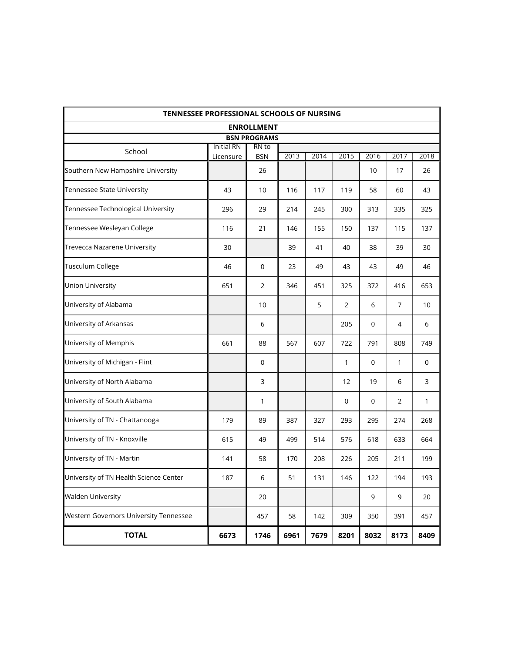| TENNESSEE PROFESSIONAL SCHOOLS OF NURSING |                   |                     |      |      |                |             |                |              |
|-------------------------------------------|-------------------|---------------------|------|------|----------------|-------------|----------------|--------------|
|                                           |                   | <b>ENROLLMENT</b>   |      |      |                |             |                |              |
|                                           |                   | <b>BSN PROGRAMS</b> |      |      |                |             |                |              |
| School                                    | <b>Initial RN</b> | RN to               |      | 2014 |                | 2016        |                |              |
| Southern New Hampshire University         | Licensure         | <b>BSN</b><br>26    | 2013 |      | 2015           | 10          | 2017<br>17     | 2018<br>26   |
| Tennessee State University                | 43                | 10                  | 116  | 117  | 119            | 58          | 60             | 43           |
| Tennessee Technological University        | 296               | 29                  | 214  | 245  | 300            | 313         | 335            | 325          |
| Tennessee Wesleyan College                | 116               | 21                  | 146  | 155  | 150            | 137         | 115            | 137          |
| Trevecca Nazarene University              | 30                |                     | 39   | 41   | 40             | 38          | 39             | 30           |
| Tusculum College                          | 46                | 0                   | 23   | 49   | 43             | 43          | 49             | 46           |
| Union University                          | 651               | 2                   | 346  | 451  | 325            | 372         | 416            | 653          |
| University of Alabama                     |                   | 10                  |      | 5    | $\overline{2}$ | 6           | 7              | 10           |
| University of Arkansas                    |                   | 6                   |      |      | 205            | $\mathbf 0$ | 4              | 6            |
| University of Memphis                     | 661               | 88                  | 567  | 607  | 722            | 791         | 808            | 749          |
| University of Michigan - Flint            |                   | $\overline{0}$      |      |      | $\mathbf{1}$   | $\mathbf 0$ | 1              | $\mathbf 0$  |
| University of North Alabama               |                   | 3                   |      |      | 12             | 19          | 6              | 3            |
| University of South Alabama               |                   | 1                   |      |      | $\mathbf 0$    | $\mathbf 0$ | $\overline{2}$ | $\mathbf{1}$ |
| University of TN - Chattanooga            | 179               | 89                  | 387  | 327  | 293            | 295         | 274            | 268          |
| University of TN - Knoxville              | 615               | 49                  | 499  | 514  | 576            | 618         | 633            | 664          |
| University of TN - Martin                 | 141               | 58                  | 170  | 208  | 226            | 205         | 211            | 199          |
| University of TN Health Science Center    | 187               | 6                   | 51   | 131  | 146            | 122         | 194            | 193          |
| <b>Walden University</b>                  |                   | 20                  |      |      |                | 9           | 9              | 20           |
| Western Governors University Tennessee    |                   | 457                 | 58   | 142  | 309            | 350         | 391            | 457          |
| <b>TOTAL</b>                              | 6673              | 1746                | 6961 | 7679 | 8201           | 8032        | 8173           | 8409         |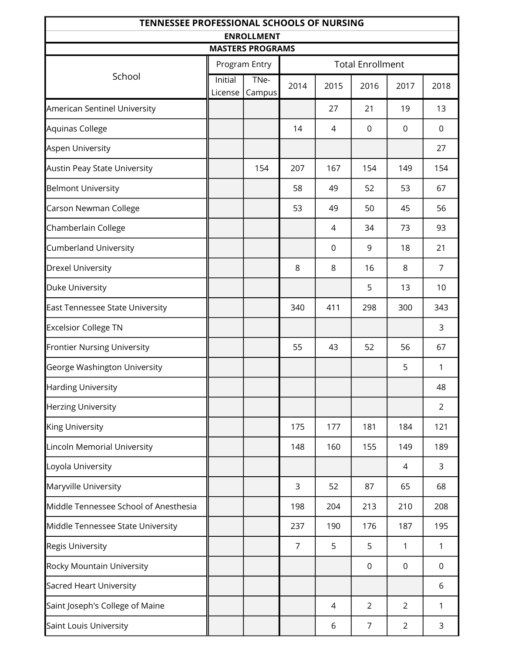| <b>TENNESSEE PROFESSIONAL SCHOOLS OF NURSING</b> |         |                         |                |             |                         |                |                |  |
|--------------------------------------------------|---------|-------------------------|----------------|-------------|-------------------------|----------------|----------------|--|
|                                                  |         | <b>ENROLLMENT</b>       |                |             |                         |                |                |  |
|                                                  |         | <b>MASTERS PROGRAMS</b> |                |             | <b>Total Enrollment</b> |                |                |  |
| School                                           | Initial | Program Entry<br>TNe-   |                |             |                         |                |                |  |
|                                                  | License | Campus                  | 2014           | 2015        | 2016                    | 2017           | 2018           |  |
| American Sentinel University                     |         |                         |                | 27          | 21                      | 19             | 13             |  |
| Aquinas College                                  |         |                         | 14             | 4           | 0                       | $\mathbf 0$    | $\mathbf 0$    |  |
| Aspen University                                 |         |                         |                |             |                         |                | 27             |  |
| Austin Peay State University                     |         | 154                     | 207            | 167         | 154                     | 149            | 154            |  |
| Belmont University                               |         |                         | 58             | 49          | 52                      | 53             | 67             |  |
| Carson Newman College                            |         |                         | 53             | 49          | 50                      | 45             | 56             |  |
| Chamberlain College                              |         |                         |                | 4           | 34                      | 73             | 93             |  |
| <b>Cumberland University</b>                     |         |                         |                | $\mathbf 0$ | 9                       | 18             | 21             |  |
| <b>Drexel University</b>                         |         |                         | 8              | 8           | 16                      | 8              | $\overline{7}$ |  |
| Duke University                                  |         |                         |                |             | 5                       | 13             | 10             |  |
| East Tennessee State University                  |         |                         | 340            | 411         | 298                     | 300            | 343            |  |
| <b>Excelsior College TN</b>                      |         |                         |                |             |                         |                | 3              |  |
| <b>Frontier Nursing University</b>               |         |                         | 55             | 43          | 52                      | 56             | 67             |  |
| George Washington University                     |         |                         |                |             |                         | 5              | 1              |  |
| Harding University                               |         |                         |                |             |                         |                | 48             |  |
| Herzing University                               |         |                         |                |             |                         |                | $\overline{2}$ |  |
| King University                                  |         |                         | 175            | 177         | 181                     | 184            | 121            |  |
| Lincoln Memorial University                      |         |                         | 148            | 160         | 155                     | 149            | 189            |  |
| Loyola University                                |         |                         |                |             |                         | 4              | 3              |  |
| Maryville University                             |         |                         | 3              | 52          | 87                      | 65             | 68             |  |
| Middle Tennessee School of Anesthesia            |         |                         | 198            | 204         | 213                     | 210            | 208            |  |
| Middle Tennessee State University                |         |                         | 237            | 190         | 176                     | 187            | 195            |  |
| Regis University                                 |         |                         | $\overline{7}$ | 5           | 5                       | 1              | 1              |  |
| Rocky Mountain University                        |         |                         |                |             | 0                       | 0              | 0              |  |
| Sacred Heart University                          |         |                         |                |             |                         |                | 6              |  |
| Saint Joseph's College of Maine                  |         |                         |                | 4           | $\overline{2}$          | $\overline{2}$ | 1              |  |
| Saint Louis University                           |         |                         |                | 6           | 7                       | $\overline{2}$ | 3              |  |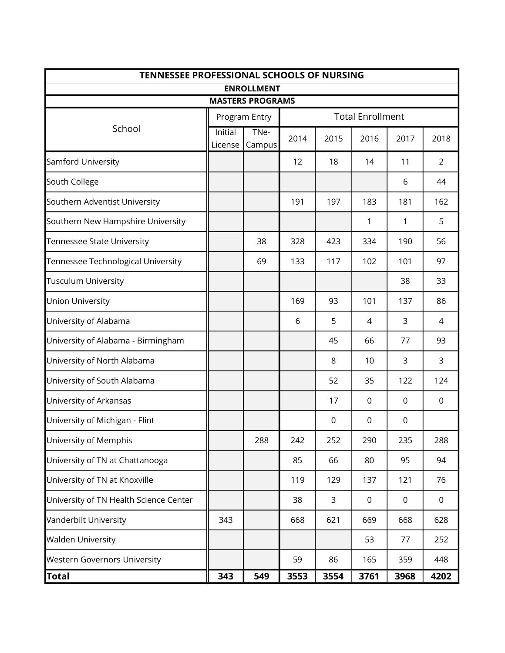| <b>TENNESSEE PROFESSIONAL SCHOOLS OF NURSING</b> |                           |                         |      |                  |                         |                  |                |
|--------------------------------------------------|---------------------------|-------------------------|------|------------------|-------------------------|------------------|----------------|
|                                                  |                           | <b>ENROLLMENT</b>       |      |                  |                         |                  |                |
|                                                  |                           | <b>MASTERS PROGRAMS</b> |      |                  |                         |                  |                |
|                                                  |                           | Program Entry           |      |                  | <b>Total Enrollment</b> |                  |                |
| School                                           | <b>Initial</b><br>License | TNe-<br>Campus          | 2014 | 2015             | 2016                    | 2017             | 2018           |
| Samford University                               |                           |                         | 12   | 18               | 14                      | 11               | $\overline{2}$ |
| South College                                    |                           |                         |      |                  |                         | 6                | 44             |
| Southern Adventist University                    |                           |                         | 191  | 197              | 183                     | 181              | 162            |
| Southern New Hampshire University                |                           |                         |      |                  | 1                       | 1                | 5              |
| Tennessee State University                       |                           | 38                      | 328  | 423              | 334                     | 190              | 56             |
| Tennessee Technological University               |                           | 69                      | 133  | 117              | 102                     | 101              | 97             |
| Tusculum University                              |                           |                         |      |                  |                         | 38               | 33             |
| Union University                                 |                           |                         | 169  | 93               | 101                     | 137              | 86             |
| University of Alabama                            |                           |                         | 6    | 5                | 4                       | 3                | 4              |
| University of Alabama - Birmingham               |                           |                         |      | 45               | 66                      | 77               | 93             |
| University of North Alabama                      |                           |                         |      | 8                | 10                      | 3                | 3              |
| University of South Alabama                      |                           |                         |      | 52               | 35                      | 122              | 124            |
| University of Arkansas                           |                           |                         |      | 17               | 0                       | 0                | 0              |
| University of Michigan - Flint                   |                           |                         |      | $\boldsymbol{0}$ | 0                       | $\boldsymbol{0}$ |                |
| University of Memphis                            |                           | 288                     | 242  | 252              | 290                     | 235              | 288            |
| University of TN at Chattanooga                  |                           |                         | 85   | 66               | 80                      | 95               | 94             |
| University of TN at Knoxville                    |                           |                         | 119  | 129              | 137                     | 121              | 76             |
| University of TN Health Science Center           |                           |                         | 38   | 3                | 0                       | 0                | 0              |
| Vanderbilt University                            | 343                       |                         | 668  | 621              | 669                     | 668              | 628            |
| <b>Walden University</b>                         |                           |                         |      |                  | 53                      | 77               | 252            |
| <b>Western Governors University</b>              |                           |                         | 59   | 86               | 165                     | 359              | 448            |
| Total                                            | 343                       | 549                     | 3553 | 3554             | 3761                    | 3968             | 4202           |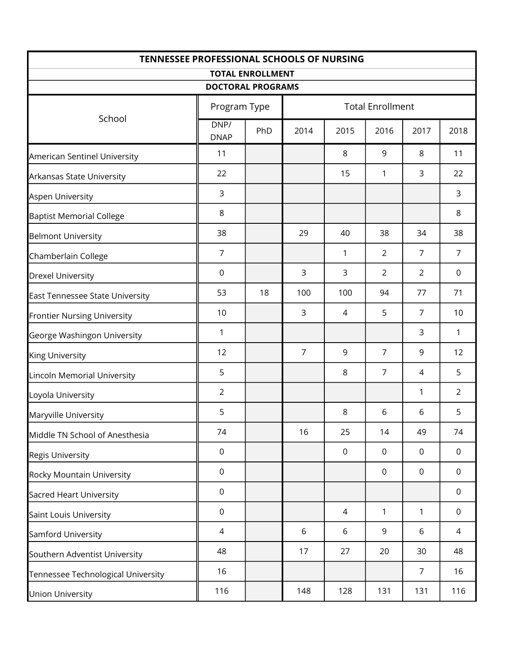|                                    | <b>TENNESSEE PROFESSIONAL SCHOOLS OF NURSING</b><br><b>TOTAL ENROLLMENT</b> |                          |                |                         |                |                |                |  |  |
|------------------------------------|-----------------------------------------------------------------------------|--------------------------|----------------|-------------------------|----------------|----------------|----------------|--|--|
|                                    |                                                                             | <b>DOCTORAL PROGRAMS</b> |                |                         |                |                |                |  |  |
|                                    | Program Type                                                                |                          |                | <b>Total Enrollment</b> |                |                |                |  |  |
| School                             | DNP/<br><b>DNAP</b>                                                         | PhD                      | 2014           | 2015                    | 2016           | 2017           | 2018           |  |  |
| American Sentinel University       | 11                                                                          |                          |                | 8                       | 9              | 8              | 11             |  |  |
| Arkansas State University          | 22                                                                          |                          |                | 15                      | 1              | 3              | 22             |  |  |
| Aspen University                   | 3                                                                           |                          |                |                         |                |                | 3              |  |  |
| <b>Baptist Memorial College</b>    | 8                                                                           |                          |                |                         |                |                | 8              |  |  |
| <b>Belmont University</b>          | 38                                                                          |                          | 29             | 40                      | 38             | 34             | 38             |  |  |
| Chamberlain College                | $\overline{7}$                                                              |                          |                | 1                       | $\overline{2}$ | $\overline{7}$ | $\overline{7}$ |  |  |
| <b>Drexel University</b>           | $\mathbf 0$                                                                 |                          | 3              | 3                       | $\overline{2}$ | $\overline{2}$ | $\mathbf 0$    |  |  |
| East Tennessee State University    | 53                                                                          | 18                       | 100            | 100                     | 94             | 77             | 71             |  |  |
| <b>Frontier Nursing University</b> | 10                                                                          |                          | 3              | $\overline{4}$          | 5              | $\overline{7}$ | 10             |  |  |
| George Washingon University        | 1                                                                           |                          |                |                         |                | 3              | $\mathbf{1}$   |  |  |
| <b>King University</b>             | 12                                                                          |                          | $\overline{7}$ | 9                       | $\overline{7}$ | 9              | 12             |  |  |
| Lincoln Memorial University        | 5                                                                           |                          |                | 8                       | $\overline{7}$ | 4              | 5              |  |  |
| Loyola University                  | $\overline{2}$                                                              |                          |                |                         |                | 1              | $\overline{2}$ |  |  |
| Maryville University               | 5                                                                           |                          |                | 8                       | 6              | 6              | 5              |  |  |
| Middle TN School of Anesthesia     | 74                                                                          |                          | 16             | 25                      | 14             | 49             | 74             |  |  |
| <b>Regis University</b>            | $\mathbf 0$                                                                 |                          |                | $\mathbf 0$             | $\mathbf 0$    | $\mathbf 0$    | $\mathbf 0$    |  |  |
| Rocky Mountain University          | $\mathbf 0$                                                                 |                          |                |                         | $\mathbf 0$    | $\overline{0}$ | $\mathbf 0$    |  |  |
| Sacred Heart University            | $\mathbf 0$                                                                 |                          |                |                         |                |                | $\mathbf 0$    |  |  |
| Saint Louis University             | $\mathbf 0$                                                                 |                          |                | 4                       | 1              | 1              | $\mathbf 0$    |  |  |
| Samford University                 | 4                                                                           |                          | 6              | 6                       | 9              | 6              | 4              |  |  |
| Southern Adventist University      | 48                                                                          |                          | 17             | 27                      | 20             | 30             | 48             |  |  |
| Tennessee Technological University | 16                                                                          |                          |                |                         |                | $\overline{7}$ | 16             |  |  |
| <b>Union University</b>            | 116                                                                         |                          | 148            | 128                     | 131            | 131            | 116            |  |  |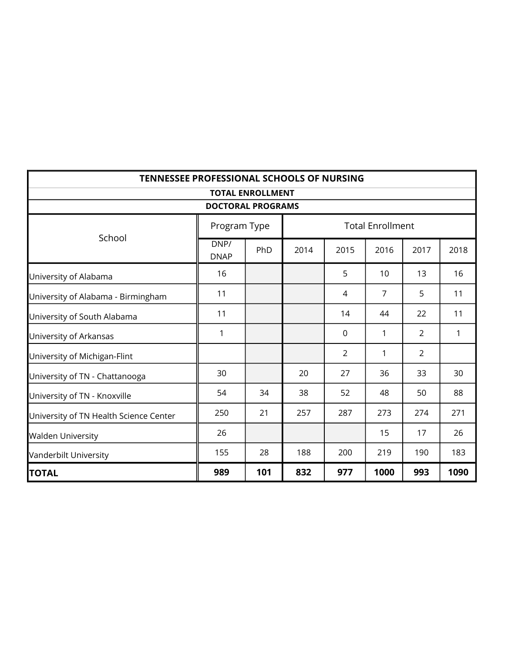| <b>TENNESSEE PROFESSIONAL SCHOOLS OF NURSING</b> |                          |                         |      |                |                         |                |              |
|--------------------------------------------------|--------------------------|-------------------------|------|----------------|-------------------------|----------------|--------------|
|                                                  | <b>DOCTORAL PROGRAMS</b> | <b>TOTAL ENROLLMENT</b> |      |                |                         |                |              |
|                                                  | Program Type             |                         |      |                | <b>Total Enrollment</b> |                |              |
| School                                           | DNP/<br><b>DNAP</b>      | PhD                     | 2014 | 2015           | 2016                    | 2017           | 2018         |
| University of Alabama                            | 16                       |                         |      | 5              | 10                      | 13             | 16           |
| University of Alabama - Birmingham               | 11                       |                         |      | 4              | $\overline{7}$          | 5              | 11           |
| University of South Alabama                      | 11                       |                         |      | 14             | 44                      | 22             | 11           |
| University of Arkansas                           | 1                        |                         |      | $\mathbf 0$    | 1                       | $\overline{2}$ | $\mathbf{1}$ |
| University of Michigan-Flint                     |                          |                         |      | $\overline{2}$ | $\mathbf{1}$            | $\overline{2}$ |              |
| University of TN - Chattanooga                   | 30                       |                         | 20   | 27             | 36                      | 33             | 30           |
| University of TN - Knoxville                     | 54                       | 34                      | 38   | 52             | 48                      | 50             | 88           |
| University of TN Health Science Center           | 250                      | 21                      | 257  | 287            | 273                     | 274            | 271          |
| <b>Walden University</b>                         | 26                       |                         |      |                | 15                      | 17             | 26           |
| Vanderbilt University                            | 155                      | 28                      | 188  | 200            | 219                     | 190            | 183          |
| <b>TOTAL</b>                                     | 989                      | 101                     | 832  | 977            | 1000                    | 993            | 1090         |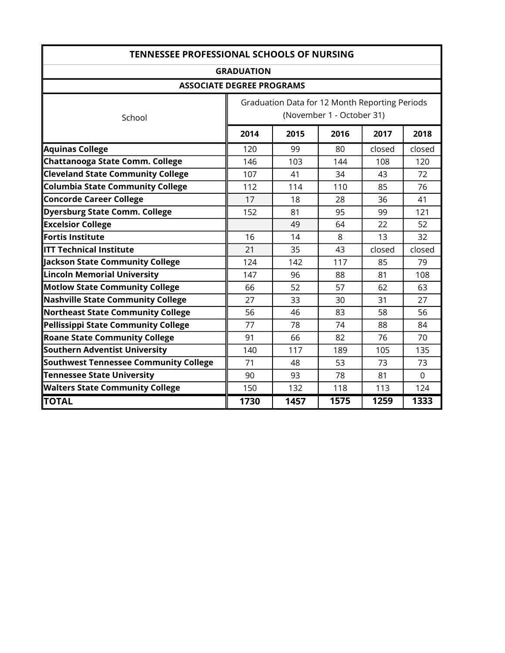| <b>TENNESSEE PROFESSIONAL SCHOOLS OF NURSING</b> |                                                                             |      |      |        |          |
|--------------------------------------------------|-----------------------------------------------------------------------------|------|------|--------|----------|
|                                                  | <b>GRADUATION</b>                                                           |      |      |        |          |
| <b>ASSOCIATE DEGREE PROGRAMS</b>                 |                                                                             |      |      |        |          |
| School                                           | Graduation Data for 12 Month Reporting Periods<br>(November 1 - October 31) |      |      |        |          |
|                                                  | 2014                                                                        | 2015 | 2016 | 2017   | 2018     |
| <b>Aquinas College</b>                           | 120                                                                         | 99   | 80   | closed | closed   |
| Chattanooga State Comm. College                  | 146                                                                         | 103  | 144  | 108    | 120      |
| <b>Cleveland State Community College</b>         | 107                                                                         | 41   | 34   | 43     | 72       |
| <b>Columbia State Community College</b>          | 112                                                                         | 114  | 110  | 85     | 76       |
| <b>Concorde Career College</b>                   | 17                                                                          | 18   | 28   | 36     | 41       |
| <b>Dyersburg State Comm. College</b>             | 152                                                                         | 81   | 95   | 99     | 121      |
| <b>Excelsior College</b>                         |                                                                             | 49   | 64   | 22     | 52       |
| Fortis Institute                                 | 16                                                                          | 14   | 8    | 13     | 32       |
| <b>ITT Technical Institute</b>                   | 21                                                                          | 35   | 43   | closed | closed   |
| Jackson State Community College                  | 124                                                                         | 142  | 117  | 85     | 79       |
| <b>Lincoln Memorial University</b>               | 147                                                                         | 96   | 88   | 81     | 108      |
| <b>Motlow State Community College</b>            | 66                                                                          | 52   | 57   | 62     | 63       |
| <b>Nashville State Community College</b>         | 27                                                                          | 33   | 30   | 31     | 27       |
| <b>Northeast State Community College</b>         | 56                                                                          | 46   | 83   | 58     | 56       |
| Pellissippi State Community College              | 77                                                                          | 78   | 74   | 88     | 84       |
| <b>Roane State Community College</b>             | 91                                                                          | 66   | 82   | 76     | 70       |
| Southern Adventist University                    | 140                                                                         | 117  | 189  | 105    | 135      |
| <b>Southwest Tennessee Community College</b>     | 71                                                                          | 48   | 53   | 73     | 73       |
| <b>Tennessee State University</b>                | 90                                                                          | 93   | 78   | 81     | $\Omega$ |
| <b>Walters State Community College</b>           | 150                                                                         | 132  | 118  | 113    | 124      |
| <b>TOTAL</b>                                     | 1730                                                                        | 1457 | 1575 | 1259   | 1333     |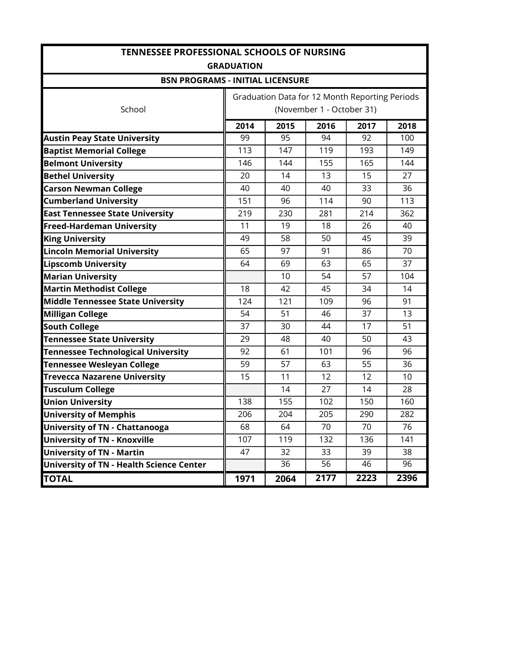|                                           | <b>TENNESSEE PROFESSIONAL SCHOOLS OF NURSING</b> |                 |                           |      |      |  |  |  |  |
|-------------------------------------------|--------------------------------------------------|-----------------|---------------------------|------|------|--|--|--|--|
|                                           | <b>GRADUATION</b>                                |                 |                           |      |      |  |  |  |  |
| <b>BSN PROGRAMS - INITIAL LICENSURE</b>   |                                                  |                 |                           |      |      |  |  |  |  |
|                                           | Graduation Data for 12 Month Reporting Periods   |                 |                           |      |      |  |  |  |  |
| School                                    |                                                  |                 | (November 1 - October 31) |      |      |  |  |  |  |
|                                           | 2014                                             | 2015            | 2016                      | 2017 | 2018 |  |  |  |  |
| <b>Austin Peay State University</b>       | 99                                               | 95              | 94                        | 92   | 100  |  |  |  |  |
| <b>Baptist Memorial College</b>           | 113                                              | 147             | 119                       | 193  | 149  |  |  |  |  |
| <b>Belmont University</b>                 | 146                                              | 144             | 155                       | 165  | 144  |  |  |  |  |
| <b>Bethel University</b>                  | 20                                               | 14              | 13                        | 15   | 27   |  |  |  |  |
| <b>Carson Newman College</b>              | 40                                               | 40              | 40                        | 33   | 36   |  |  |  |  |
| <b>Cumberland University</b>              | 151                                              | 96              | 114                       | 90   | 113  |  |  |  |  |
| <b>East Tennessee State University</b>    | 219                                              | 230             | 281                       | 214  | 362  |  |  |  |  |
| <b>Freed-Hardeman University</b>          | 11                                               | 19              | 18                        | 26   | 40   |  |  |  |  |
| <b>King University</b>                    | 49                                               | 58              | 50                        | 45   | 39   |  |  |  |  |
| <b>Lincoln Memorial University</b>        | 65                                               | 97              | 91                        | 86   | 70   |  |  |  |  |
| <b>Lipscomb University</b>                | 64                                               | 69              | 63                        | 65   | 37   |  |  |  |  |
| <b>Marian University</b>                  |                                                  | 10              | 54                        | 57   | 104  |  |  |  |  |
| <b>Martin Methodist College</b>           | 18                                               | 42              | 45                        | 34   | 14   |  |  |  |  |
| Middle Tennessee State University         | 124                                              | 121             | 109                       | 96   | 91   |  |  |  |  |
| Milligan College                          | 54                                               | 51              | 46                        | 37   | 13   |  |  |  |  |
| <b>South College</b>                      | 37                                               | 30              | 44                        | 17   | 51   |  |  |  |  |
| <b>Tennessee State University</b>         | 29                                               | 48              | 40                        | 50   | 43   |  |  |  |  |
| <b>Tennessee Technological University</b> | 92                                               | 61              | 101                       | 96   | 96   |  |  |  |  |
| <b>Tennessee Wesleyan College</b>         | 59                                               | 57              | 63                        | 55   | 36   |  |  |  |  |
| <b>Trevecca Nazarene University</b>       | 15                                               | 11              | 12                        | 12   | 10   |  |  |  |  |
| <b>Tusculum College</b>                   |                                                  | 14              | 27                        | 14   | 28   |  |  |  |  |
| <b>Union University</b>                   | 138                                              | 155             | 102                       | 150  | 160  |  |  |  |  |
| <b>University of Memphis</b>              | 206                                              | 204             | 205                       | 290  | 282  |  |  |  |  |
| <b>University of TN - Chattanooga</b>     | 68                                               | 64              | 70                        | 70   | 76   |  |  |  |  |
| <b>University of TN - Knoxville</b>       | 107                                              | 119             | 132                       | 136  | 141  |  |  |  |  |
| <b>University of TN - Martin</b>          | 47                                               | 32              | 33                        | 39   | 38   |  |  |  |  |
| University of TN - Health Science Center  |                                                  | $\overline{36}$ | $\overline{56}$           | 46   | 96   |  |  |  |  |
| <b>TOTAL</b>                              | 1971                                             | 2064            | 2177                      | 2223 | 2396 |  |  |  |  |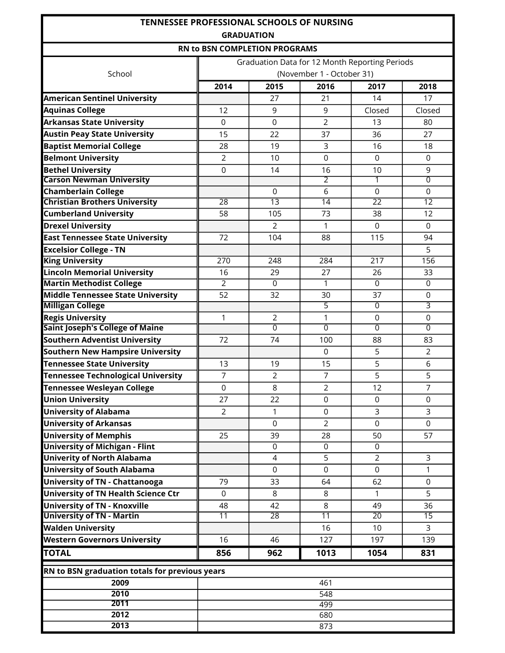| <b>TENNESSEE PROFESSIONAL SCHOOLS OF NURSING</b> |                 |                                                |                           |                  |                 |  |  |  |
|--------------------------------------------------|-----------------|------------------------------------------------|---------------------------|------------------|-----------------|--|--|--|
|                                                  |                 | <b>GRADUATION</b>                              |                           |                  |                 |  |  |  |
|                                                  |                 | <b>RN to BSN COMPLETION PROGRAMS</b>           |                           |                  |                 |  |  |  |
|                                                  |                 | Graduation Data for 12 Month Reporting Periods |                           |                  |                 |  |  |  |
| School                                           |                 |                                                | (November 1 - October 31) |                  |                 |  |  |  |
|                                                  | 2014            | 2015                                           | 2016                      | 2017             | 2018            |  |  |  |
| <b>American Sentinel University</b>              |                 | 27                                             | 21                        | 14               | 17              |  |  |  |
| <b>Aquinas College</b>                           | 12              | 9                                              | 9                         | Closed           | Closed          |  |  |  |
| <b>Arkansas State University</b>                 | $\Omega$        | $\mathbf 0$                                    | $\overline{2}$            | 13               | 80              |  |  |  |
| <b>Austin Peay State University</b>              | 15              | 22                                             | 37                        | 36               | 27              |  |  |  |
| <b>Baptist Memorial College</b>                  | 28              | 19                                             | 3                         | 16               | 18              |  |  |  |
| <b>Belmont University</b>                        | $\overline{2}$  | 10                                             | $\overline{0}$            | $\overline{0}$   | $\mathbf 0$     |  |  |  |
| <b>Bethel University</b>                         | $\overline{0}$  | 14                                             | 16                        | 10               | 9               |  |  |  |
| <b>Carson Newman University</b>                  |                 |                                                | $\overline{2}$            | 1                | $\overline{0}$  |  |  |  |
| <b>Chamberlain College</b>                       |                 | 0                                              | 6                         | 0                | 0               |  |  |  |
| <b>Christian Brothers University</b>             | $\overline{28}$ | $\overline{13}$                                | 14                        | $\overline{22}$  | $\overline{12}$ |  |  |  |
| <b>Cumberland University</b>                     | 58              | 105                                            | 73                        | 38               | 12              |  |  |  |
| <b>Drexel University</b>                         |                 | $\overline{2}$                                 | 1                         | $\Omega$         | 0               |  |  |  |
| <b>East Tennessee State University</b>           | 72              | 104                                            | 88                        | 115              | 94              |  |  |  |
| <b>Excelsior College - TN</b>                    |                 |                                                |                           |                  | 5               |  |  |  |
| <b>King University</b>                           | 270             | 248                                            | 284                       | $\overline{217}$ | 156             |  |  |  |
| <b>Lincoln Memorial University</b>               | 16              | 29                                             | 27                        | 26               | 33              |  |  |  |
| <b>Martin Methodist College</b>                  | $\overline{2}$  | $\Omega$                                       | 1                         | $\overline{0}$   | $\overline{0}$  |  |  |  |
| <b>Middle Tennessee State University</b>         | 52              | 32                                             | 30                        | 37               | 0               |  |  |  |
| <b>Milligan College</b>                          |                 |                                                | $\overline{5}$            | 0                | 3               |  |  |  |
| <b>Regis University</b>                          | 1               | $\overline{2}$                                 | 1                         | $\overline{0}$   | $\mathbf 0$     |  |  |  |
| <b>Saint Joseph's College of Maine</b>           |                 | $\overline{0}$                                 | $\overline{0}$            | $\Omega$         | $\overline{0}$  |  |  |  |
| <b>Southern Adventist University</b>             | 72              | 74                                             | 100                       | 88               | 83              |  |  |  |
| <b>Southern New Hampsire University</b>          |                 |                                                | $\mathbf 0$               | 5                | $\overline{2}$  |  |  |  |
| <b>Tennessee State University</b>                | 13              | 19                                             | 15                        | 5                | 6               |  |  |  |
| <b>Tennessee Technological University</b>        | $\overline{7}$  | $\overline{2}$                                 | $\overline{7}$            | 5                | 5               |  |  |  |
| <b>Tennessee Wesleyan College</b>                | $\mathsf 0$     | 8                                              | $\overline{2}$            | 12               | $\overline{7}$  |  |  |  |
| <b>Union University</b>                          | 27              | 22                                             | $\Omega$                  | $\Omega$         | 0               |  |  |  |
| <b>University of Alabama</b>                     | $\overline{2}$  | 1                                              | $\Omega$                  | 3                | 3               |  |  |  |
| <b>University of Arkansas</b>                    |                 | $\mathbf 0$                                    | $\overline{2}$            | $\overline{0}$   | $\mathbf 0$     |  |  |  |
| <b>University of Memphis</b>                     | 25              | 39                                             | 28                        | 50               | 57              |  |  |  |
| <b>University of Michigan - Flint</b>            |                 | $\Omega$                                       | $\Omega$                  | $\Omega$         |                 |  |  |  |
| <b>Univerity of North Alabama</b>                |                 | 4                                              | 5                         | $\overline{2}$   | 3               |  |  |  |
| <b>University of South Alabama</b>               |                 | 0                                              | $\mathbf 0$               | $\mathbf 0$      | 1               |  |  |  |
| <b>University of TN - Chattanooga</b>            | 79              | 33                                             | 64                        | 62               | 0               |  |  |  |
| <b>University of TN Health Science Ctr</b>       | $\mathbf 0$     | 8                                              | 8                         | 1                | 5               |  |  |  |
| <b>University of TN - Knoxville</b>              | 48              | 42                                             | 8                         | 49               | 36              |  |  |  |
| <b>University of TN - Martin</b>                 | $\overline{11}$ | $\overline{28}$                                | $\overline{11}$           | $\overline{20}$  | $\overline{15}$ |  |  |  |
| <b>Walden University</b>                         |                 |                                                | 16                        | 10               | 3               |  |  |  |
| <b>Western Governors University</b>              | 16              | 46                                             | 127                       | 197              | 139             |  |  |  |
| <b>TOTAL</b>                                     | 856             | 962                                            | 1013                      | 1054             | 831             |  |  |  |
| RN to BSN graduation totals for previous years   |                 |                                                |                           |                  |                 |  |  |  |
| 2009                                             |                 |                                                | 461                       |                  |                 |  |  |  |
| 2010                                             |                 |                                                | $\overline{548}$          |                  |                 |  |  |  |
| 2011                                             |                 |                                                | 499                       |                  |                 |  |  |  |
| 2012                                             |                 |                                                | 680                       |                  |                 |  |  |  |
| 2013                                             |                 |                                                | 873                       |                  |                 |  |  |  |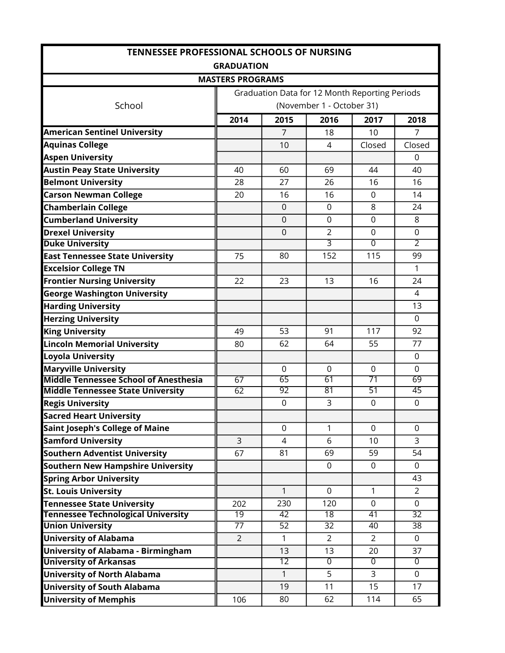| <b>TENNESSEE PROFESSIONAL SCHOOLS OF NURSING</b> |                         |                 |                                                |                 |                 |  |  |  |
|--------------------------------------------------|-------------------------|-----------------|------------------------------------------------|-----------------|-----------------|--|--|--|
|                                                  | <b>GRADUATION</b>       |                 |                                                |                 |                 |  |  |  |
|                                                  | <b>MASTERS PROGRAMS</b> |                 |                                                |                 |                 |  |  |  |
|                                                  |                         |                 | Graduation Data for 12 Month Reporting Periods |                 |                 |  |  |  |
| School                                           |                         |                 | (November 1 - October 31)                      |                 |                 |  |  |  |
|                                                  | 2014                    | 2015            | 2016                                           | 2017            | 2018            |  |  |  |
| <b>American Sentinel University</b>              |                         | 7               | 18                                             | 10              | 7               |  |  |  |
| <b>Aquinas College</b>                           |                         | 10              | 4                                              | Closed          | Closed          |  |  |  |
| <b>Aspen University</b>                          |                         |                 |                                                |                 | $\overline{0}$  |  |  |  |
| <b>Austin Peay State University</b>              | 40                      | 60              | 69                                             | 44              | 40              |  |  |  |
| <b>Belmont University</b>                        | 28                      | 27              | 26                                             | 16              | 16              |  |  |  |
| <b>Carson Newman College</b>                     | 20                      | 16              | 16                                             | $\mathbf{0}$    | 14              |  |  |  |
| <b>Chamberlain College</b>                       |                         | $\mathbf{0}$    | $\Omega$                                       | 8               | 24              |  |  |  |
| <b>Cumberland University</b>                     |                         | $\mathbf 0$     | $\mathbf 0$                                    | $\mathbf 0$     | 8               |  |  |  |
| <b>Drexel University</b>                         |                         | $\overline{0}$  | $\overline{2}$                                 | $\mathbf 0$     | $\mathbf 0$     |  |  |  |
| <b>Duke University</b>                           |                         |                 | $\overline{3}$                                 | $\overline{0}$  | $\overline{2}$  |  |  |  |
| <b>East Tennessee State University</b>           | 75                      | 80              | 152                                            | 115             | 99              |  |  |  |
| <b>Excelsior College TN</b>                      |                         |                 |                                                |                 | $\mathbf{1}$    |  |  |  |
| <b>Frontier Nursing University</b>               | 22                      | 23              | 13                                             | 16              | 24              |  |  |  |
| <b>George Washington University</b>              |                         |                 |                                                |                 | 4               |  |  |  |
| <b>Harding University</b>                        |                         |                 |                                                |                 | 13              |  |  |  |
| <b>Herzing University</b>                        |                         |                 |                                                |                 | $\Omega$        |  |  |  |
| <b>King University</b>                           | 49                      | 53              | 91                                             | 117             | 92              |  |  |  |
| <b>Lincoln Memorial University</b>               | 80                      | 62              | 64                                             | 55              | 77              |  |  |  |
| Loyola University                                |                         |                 |                                                |                 | $\overline{0}$  |  |  |  |
| <b>Maryville University</b>                      |                         | $\Omega$        | $\Omega$                                       | $\mathbf{0}$    | $\Omega$        |  |  |  |
| <b>Middle Tennessee School of Anesthesia</b>     | 67                      | 65              | 61                                             | $\overline{71}$ | 69              |  |  |  |
| <b>Middle Tennessee State University</b>         | 62                      | 92              | 81                                             | $\overline{51}$ | 45              |  |  |  |
| <b>Regis University</b>                          |                         | $\mathbf 0$     | 3                                              | $\mathbf 0$     | $\mathbf 0$     |  |  |  |
| <b>Sacred Heart University</b>                   |                         |                 |                                                |                 |                 |  |  |  |
| <b>Saint Joseph's College of Maine</b>           |                         | $\mathbf 0$     | 1                                              | $\Omega$        | $\Omega$        |  |  |  |
| <b>Samford University</b>                        | 3                       | 4               | 6                                              | 10              | $\overline{3}$  |  |  |  |
| <b>Southern Adventist University</b>             | 67                      | 81              | 69                                             | 59              | 54              |  |  |  |
| <b>Southern New Hampshire University</b>         |                         |                 | $\mathbf 0$                                    | $\mathbf{0}$    | $\Omega$        |  |  |  |
| <b>Spring Arbor University</b>                   |                         |                 |                                                |                 | 43              |  |  |  |
| <b>St. Louis University</b>                      |                         | 1               | $\mathbf 0$                                    | 1               | $\overline{2}$  |  |  |  |
| <b>Tennessee State University</b>                | 202                     | 230             | 120                                            | $\mathbf 0$     | 0               |  |  |  |
| <b>Tennessee Technological University</b>        | $\overline{19}$         | 42              | $\overline{18}$                                | 41              | $\overline{32}$ |  |  |  |
| <b>Union University</b>                          | 77                      | 52              | 32                                             | 40              | 38              |  |  |  |
| <b>University of Alabama</b>                     | $\overline{2}$          | $\mathbf{1}$    | 2                                              | $\overline{2}$  | 0               |  |  |  |
| <b>University of Alabama - Birmingham</b>        |                         | 13              | 13                                             | 20              | 37              |  |  |  |
| <b>University of Arkansas</b>                    |                         | $\overline{12}$ | $\overline{0}$                                 | $\overline{0}$  | $\overline{0}$  |  |  |  |
| <b>University of North Alabama</b>               |                         | 1               | 5                                              | 3               | $\mathbf 0$     |  |  |  |
| <b>University of South Alabama</b>               |                         | 19              | 11                                             | 15              | 17              |  |  |  |
| <b>University of Memphis</b>                     | 106                     | 80              | 62                                             | 114             | 65              |  |  |  |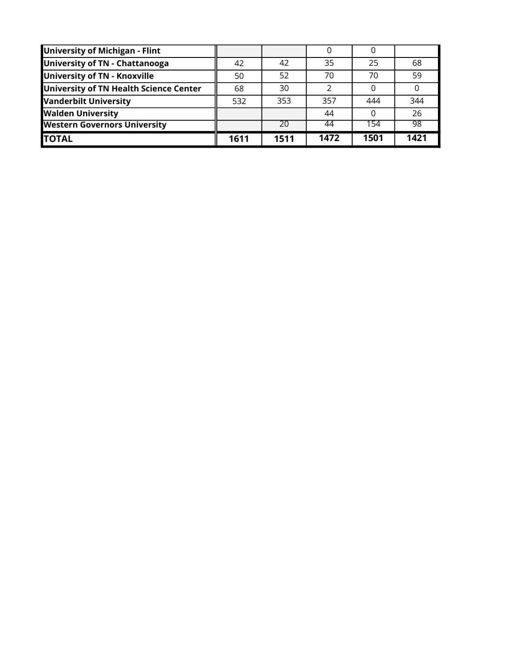| University of Michigan - Flint         |      |      |      |      |      |
|----------------------------------------|------|------|------|------|------|
| University of TN - Chattanooga         | 42   | 42   | 35   | 25   | 68   |
| University of TN - Knoxville           | 50   | 52   | 70   | 70   | 59   |
| University of TN Health Science Center | 68   | 30   | າ    |      |      |
| <b>Vanderbilt University</b>           | 532  | 353  | 357  | 444  | 344  |
| <b>Walden University</b>               |      |      | 44   |      | 26   |
| <b>Western Governors University</b>    |      | 20   | 44   | 154  | -98  |
| <b>ITOTAL</b>                          | 1611 | 1511 | 1472 | 1501 | 1421 |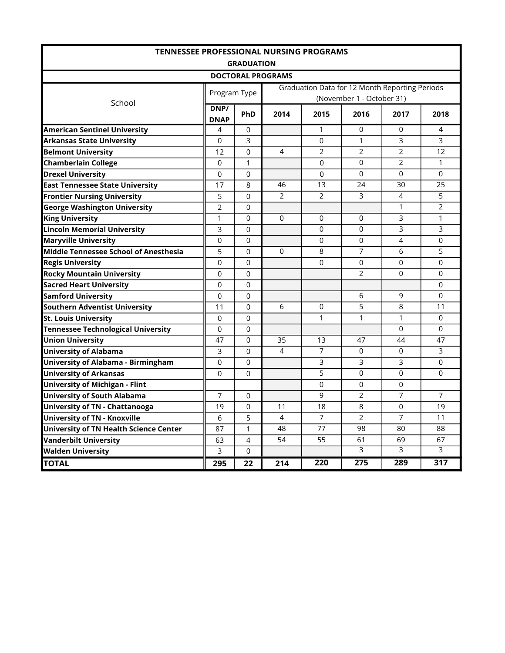| <b>TENNESSEE PROFESSIONAL NURSING PROGRAMS</b>                          |                     |                   |                          |                  |                           |                                                |                  |  |  |  |  |  |
|-------------------------------------------------------------------------|---------------------|-------------------|--------------------------|------------------|---------------------------|------------------------------------------------|------------------|--|--|--|--|--|
|                                                                         |                     | <b>GRADUATION</b> |                          |                  |                           |                                                |                  |  |  |  |  |  |
|                                                                         |                     |                   | <b>DOCTORAL PROGRAMS</b> |                  |                           |                                                |                  |  |  |  |  |  |
|                                                                         | Program Type        |                   |                          |                  |                           | Graduation Data for 12 Month Reporting Periods |                  |  |  |  |  |  |
| School                                                                  |                     |                   |                          |                  | (November 1 - October 31) |                                                |                  |  |  |  |  |  |
|                                                                         | DNP/<br><b>DNAP</b> | PhD               | 2014                     | 2015             | 2016                      | 2017                                           | 2018             |  |  |  |  |  |
| <b>American Sentinel University</b>                                     | 4                   | 0                 |                          | $\mathbf{1}$     | $\Omega$                  | $\Omega$                                       | $\overline{4}$   |  |  |  |  |  |
| <b>Arkansas State University</b>                                        | 0                   | 3                 |                          | 0                | 1                         | 3                                              | 3                |  |  |  |  |  |
| <b>Belmont University</b>                                               | 12                  | $\Omega$          | 4                        | $\overline{2}$   | $\overline{2}$            | $\overline{2}$                                 | 12               |  |  |  |  |  |
| <b>Chamberlain College</b>                                              | 0                   | 1                 |                          | $\mathbf 0$      | $\Omega$                  | 2                                              | $\mathbf{1}$     |  |  |  |  |  |
| <b>Drexel University</b>                                                | $\Omega$            | $\Omega$          |                          | $\Omega$         | $\Omega$                  | $\Omega$                                       | $\Omega$         |  |  |  |  |  |
| <b>East Tennessee State University</b>                                  | 17                  | 8                 | 46                       | 13               | 24                        | 30                                             | 25               |  |  |  |  |  |
| <b>Frontier Nursing University</b>                                      | 5                   | $\Omega$          | $\overline{2}$           | $\overline{2}$   | 3                         | 4                                              | 5                |  |  |  |  |  |
| <b>George Washington University</b>                                     | $\overline{2}$      | $\Omega$          |                          |                  |                           | 1                                              | $\overline{2}$   |  |  |  |  |  |
| <b>King University</b>                                                  | 1                   | $\Omega$          | $\Omega$                 | 0                | 0                         | 3                                              | $\mathbf{1}$     |  |  |  |  |  |
| <b>Lincoln Memorial University</b><br>3<br>0<br>0<br>3<br>3<br>$\Omega$ |                     |                   |                          |                  |                           |                                                |                  |  |  |  |  |  |
| <b>Maryville University</b>                                             | 0                   | $\Omega$          |                          | $\Omega$         | $\Omega$                  | 4                                              | $\Omega$         |  |  |  |  |  |
| Middle Tennessee School of Anesthesia                                   | 5                   | $\Omega$          | 0                        | 8                | 7                         | 6                                              | 5                |  |  |  |  |  |
| <b>Regis University</b>                                                 | 0                   | $\Omega$          |                          | 0                | 0                         | $\mathbf 0$                                    | 0                |  |  |  |  |  |
| <b>Rocky Mountain University</b>                                        | $\Omega$            | $\Omega$          |                          |                  | 2                         | $\Omega$                                       | $\Omega$         |  |  |  |  |  |
| <b>Sacred Heart University</b>                                          | $\Omega$            | $\Omega$          |                          |                  |                           |                                                | $\Omega$         |  |  |  |  |  |
| <b>Samford University</b>                                               | 0                   | $\Omega$          |                          |                  | 6                         | 9                                              | 0                |  |  |  |  |  |
| <b>Southern Adventist University</b>                                    | 11                  | $\Omega$          | 6                        | 0                | 5                         | 8                                              | 11               |  |  |  |  |  |
| <b>St. Louis University</b>                                             | $\Omega$            | $\Omega$          |                          | 1                | $\mathbf{1}$              | 1                                              | $\Omega$         |  |  |  |  |  |
| <b>Tennessee Technological University</b>                               | 0                   | 0                 |                          |                  |                           | $\mathbf 0$                                    | 0                |  |  |  |  |  |
| <b>Union University</b>                                                 | 47                  | $\Omega$          | 35                       | 13               | 47                        | 44                                             | 47               |  |  |  |  |  |
| <b>University of Alabama</b>                                            | 3                   | $\Omega$          | 4                        | 7                | $\Omega$                  | $\Omega$                                       | 3                |  |  |  |  |  |
| University of Alabama - Birmingham                                      | 0                   | $\Omega$          |                          | 3                | 3                         | 3                                              | 0                |  |  |  |  |  |
| <b>University of Arkansas</b>                                           | 0                   | $\Omega$          |                          | 5                | $\Omega$                  | $\Omega$                                       | $\Omega$         |  |  |  |  |  |
| <b>University of Michigan - Flint</b>                                   |                     |                   |                          | 0                | $\Omega$                  | 0                                              |                  |  |  |  |  |  |
| <b>University of South Alabama</b>                                      | 7                   | $\Omega$          |                          | 9                | $\overline{2}$            | 7                                              | $\overline{7}$   |  |  |  |  |  |
| <b>University of TN - Chattanooga</b>                                   | 19                  | $\Omega$          | 11                       | 18               | 8                         | $\Omega$                                       | 19               |  |  |  |  |  |
| <b>University of TN - Knoxville</b>                                     | 6                   | 5                 | 4                        | 7                | $\overline{2}$            | 7                                              | 11               |  |  |  |  |  |
| <b>University of TN Health Science Center</b>                           | 87                  | $\mathbf{1}$      | 48                       | 77               | 98                        | 80                                             | 88               |  |  |  |  |  |
| <b>Vanderbilt University</b>                                            | 63                  | $\overline{4}$    | 54                       | 55               | 61                        | 69                                             | 67               |  |  |  |  |  |
| <b>Walden University</b>                                                | 3                   | $\Omega$          |                          |                  | 3                         | 3                                              | 3                |  |  |  |  |  |
| <b>TOTAL</b>                                                            | 295                 | 22                | 214                      | $\overline{220}$ | 275                       | 289                                            | $\overline{317}$ |  |  |  |  |  |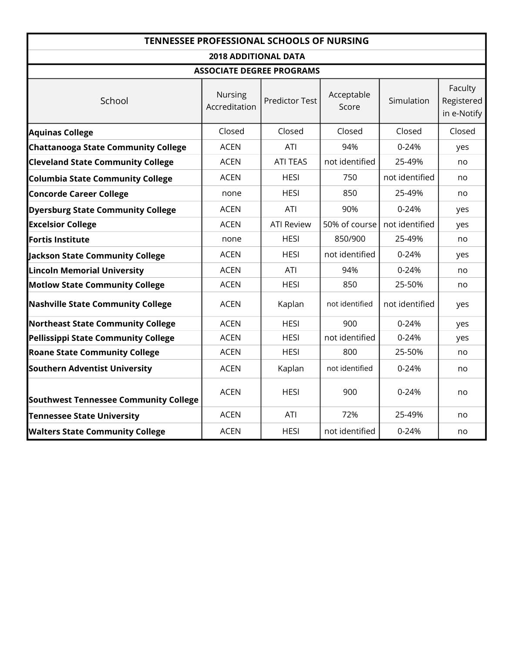|                                              |                                  | <b>TENNESSEE PROFESSIONAL SCHOOLS OF NURSING</b> |                     |                |                                      |  |  |  |  |  |  |  |  |
|----------------------------------------------|----------------------------------|--------------------------------------------------|---------------------|----------------|--------------------------------------|--|--|--|--|--|--|--|--|
|                                              | <b>2018 ADDITIONAL DATA</b>      |                                                  |                     |                |                                      |  |  |  |  |  |  |  |  |
|                                              | <b>ASSOCIATE DEGREE PROGRAMS</b> |                                                  |                     |                |                                      |  |  |  |  |  |  |  |  |
| School                                       | Nursing<br>Accreditation         | <b>Predictor Test</b>                            | Acceptable<br>Score | Simulation     | Faculty<br>Registered<br>in e-Notify |  |  |  |  |  |  |  |  |
| <b>Aquinas College</b>                       | Closed                           | Closed                                           | Closed              | Closed         | Closed                               |  |  |  |  |  |  |  |  |
| <b>Chattanooga State Community College</b>   | <b>ACEN</b>                      | <b>ATI</b>                                       | 94%                 | $0 - 24%$      | yes                                  |  |  |  |  |  |  |  |  |
| <b>Cleveland State Community College</b>     | <b>ACEN</b>                      | <b>ATI TEAS</b>                                  | not identified      | 25-49%         | no                                   |  |  |  |  |  |  |  |  |
| Columbia State Community College             | <b>ACEN</b>                      | <b>HESI</b>                                      | 750                 | not identified | no                                   |  |  |  |  |  |  |  |  |
| <b>Concorde Career College</b>               | none                             | <b>HESI</b>                                      | 850                 | 25-49%         | no                                   |  |  |  |  |  |  |  |  |
| <b>Dyersburg State Community College</b>     | <b>ACEN</b>                      | <b>ATI</b>                                       | 90%                 | $0 - 24%$      | yes                                  |  |  |  |  |  |  |  |  |
| <b>Excelsior College</b>                     | <b>ACEN</b>                      | <b>ATI Review</b>                                | 50% of course       | not identified | yes                                  |  |  |  |  |  |  |  |  |
| <b>Fortis Institute</b>                      | none                             | <b>HESI</b>                                      | 850/900             | 25-49%         | no                                   |  |  |  |  |  |  |  |  |
| Jackson State Community College              | <b>ACEN</b>                      | <b>HESI</b>                                      | not identified      | $0 - 24%$      | yes                                  |  |  |  |  |  |  |  |  |
| <b>Lincoln Memorial University</b>           | <b>ACEN</b>                      | ATI                                              | 94%                 | $0 - 24%$      | no                                   |  |  |  |  |  |  |  |  |
| <b>Motlow State Community College</b>        | <b>ACEN</b>                      | <b>HESI</b>                                      | 850                 | 25-50%         | no                                   |  |  |  |  |  |  |  |  |
| <b>Nashville State Community College</b>     | <b>ACEN</b>                      | Kaplan                                           | not identified      | not identified | yes                                  |  |  |  |  |  |  |  |  |
| <b>Northeast State Community College</b>     | <b>ACEN</b>                      | <b>HESI</b>                                      | 900                 | $0 - 24%$      | yes                                  |  |  |  |  |  |  |  |  |
| Pellissippi State Community College          | <b>ACEN</b>                      | <b>HESI</b>                                      | not identified      | $0 - 24%$      | yes                                  |  |  |  |  |  |  |  |  |
| <b>Roane State Community College</b>         | <b>ACEN</b>                      | <b>HESI</b>                                      | 800                 | 25-50%         | no                                   |  |  |  |  |  |  |  |  |
| <b>Southern Adventist University</b>         | <b>ACEN</b>                      | Kaplan                                           | not identified      | 0-24%          | no                                   |  |  |  |  |  |  |  |  |
| <b>Southwest Tennessee Community College</b> | <b>ACEN</b>                      | <b>HESI</b>                                      | 900                 | $0 - 24%$      | no                                   |  |  |  |  |  |  |  |  |
| <b>Tennessee State University</b>            | <b>ACEN</b>                      | <b>ATI</b><br>72%                                |                     | 25-49%         | no                                   |  |  |  |  |  |  |  |  |
| <b>Walters State Community College</b>       | <b>ACEN</b>                      | <b>HESI</b>                                      | not identified      | 0-24%          | no                                   |  |  |  |  |  |  |  |  |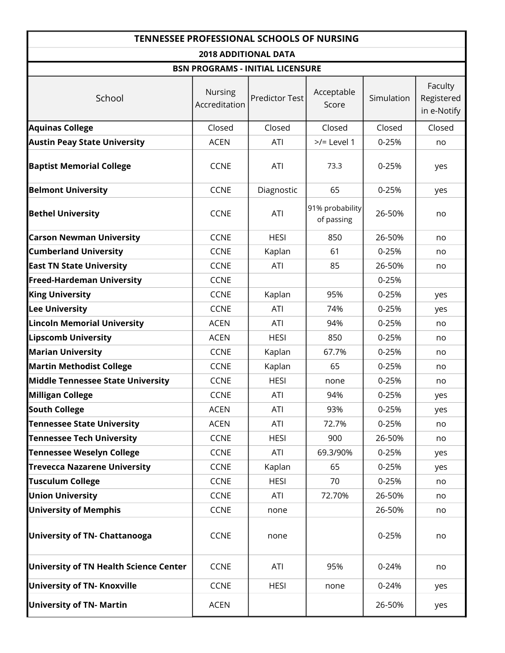|                                          |                             | <b>TENNESSEE PROFESSIONAL SCHOOLS OF NURSING</b> |                               |            |                                      |
|------------------------------------------|-----------------------------|--------------------------------------------------|-------------------------------|------------|--------------------------------------|
|                                          | <b>2018 ADDITIONAL DATA</b> |                                                  |                               |            |                                      |
|                                          |                             | <b>BSN PROGRAMS - INITIAL LICENSURE</b>          |                               |            |                                      |
| School                                   | Nursing<br>Accreditation    | <b>Predictor Test</b>                            | Acceptable<br>Score           | Simulation | Faculty<br>Registered<br>in e-Notify |
| <b>Aquinas College</b>                   | Closed                      | Closed                                           | Closed                        | Closed     | Closed                               |
| <b>Austin Peay State University</b>      | <b>ACEN</b>                 | ATI                                              | $>>$ Level 1                  | $0 - 25%$  | no                                   |
| <b>Baptist Memorial College</b>          | <b>CCNE</b>                 | ATI                                              | 73.3                          | $0 - 25%$  | yes                                  |
| <b>Belmont University</b>                | <b>CCNE</b>                 | Diagnostic                                       | 65                            | 0-25%      | yes                                  |
| <b>Bethel University</b>                 | <b>CCNE</b>                 | ATI                                              | 91% probability<br>of passing | 26-50%     | no                                   |
| <b>Carson Newman University</b>          | <b>CCNE</b>                 | <b>HESI</b>                                      | 850                           | 26-50%     | no                                   |
| <b>Cumberland University</b>             | <b>CCNE</b>                 | Kaplan                                           | 61                            | 0-25%      | no                                   |
| <b>East TN State University</b>          | <b>CCNE</b>                 | ATI                                              | 85                            | 26-50%     | no                                   |
| <b>Freed-Hardeman University</b>         | <b>CCNE</b>                 |                                                  |                               | 0-25%      |                                      |
| <b>King University</b>                   | <b>CCNE</b>                 | Kaplan                                           | 95%                           | 0-25%      | yes                                  |
| <b>Lee University</b>                    | <b>CCNE</b>                 | ATI                                              | 74%                           | 0-25%      | yes                                  |
| <b>Lincoln Memorial University</b>       | <b>ACEN</b>                 | ATI                                              | 94%                           | 0-25%      | no                                   |
| <b>Lipscomb University</b>               | <b>ACEN</b>                 | <b>HESI</b>                                      | 850                           | 0-25%      | no                                   |
| <b>Marian University</b>                 | <b>CCNE</b>                 | Kaplan                                           | 67.7%                         | 0-25%      | no                                   |
| <b>Martin Methodist College</b>          | <b>CCNE</b>                 | Kaplan                                           | 65                            | 0-25%      | no                                   |
| <b>Middle Tennessee State University</b> | <b>CCNE</b>                 | <b>HESI</b>                                      | none                          | 0-25%      | no                                   |
| Milligan College                         | <b>CCNE</b>                 | ATI                                              | 94%                           | 0-25%      | yes                                  |
| <b>South College</b>                     | <b>ACEN</b>                 | <b>ATI</b>                                       | 93%                           | 0-25%      | yes                                  |
| <b>Tennessee State University</b>        | <b>ACEN</b>                 | ATI                                              | 72.7%                         | 0-25%      | no                                   |
| <b>Tennessee Tech University</b>         | <b>CCNE</b>                 | <b>HESI</b>                                      | 900                           | 26-50%     | no                                   |
| <b>Tennessee Weselyn College</b>         | <b>CCNE</b>                 | <b>ATI</b>                                       | 69.3/90%                      | 0-25%      | yes                                  |
| <b>Trevecca Nazarene University</b>      | <b>CCNE</b>                 | Kaplan                                           | 65                            | 0-25%      | yes                                  |
| <b>Tusculum College</b>                  | <b>CCNE</b>                 | <b>HESI</b>                                      | 70                            | 0-25%      | no                                   |
| <b>Union University</b>                  | <b>CCNE</b>                 | ATI                                              | 72.70%                        | 26-50%     | no                                   |
| <b>University of Memphis</b>             | <b>CCNE</b>                 | none                                             |                               | 26-50%     | no                                   |
| <b>University of TN- Chattanooga</b>     | <b>CCNE</b>                 | none                                             |                               | 0-25%      | no                                   |
| University of TN Health Science Center   | <b>CCNE</b>                 | <b>ATI</b>                                       | 95%                           | 0-24%      | no                                   |
| <b>University of TN- Knoxville</b>       | <b>CCNE</b>                 | <b>HESI</b>                                      | none                          | 0-24%      | yes                                  |
| <b>University of TN- Martin</b>          | <b>ACEN</b>                 |                                                  |                               | 26-50%     | yes                                  |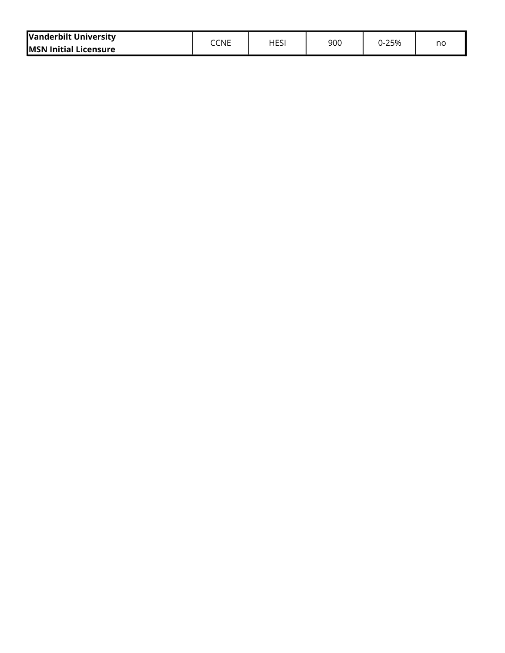| <b>Vanderbilt University</b>  | CCNE | HESI | 900 | $0 - 25%$ |    |
|-------------------------------|------|------|-----|-----------|----|
| <b>IMSN Initial Licensure</b> |      |      |     |           | no |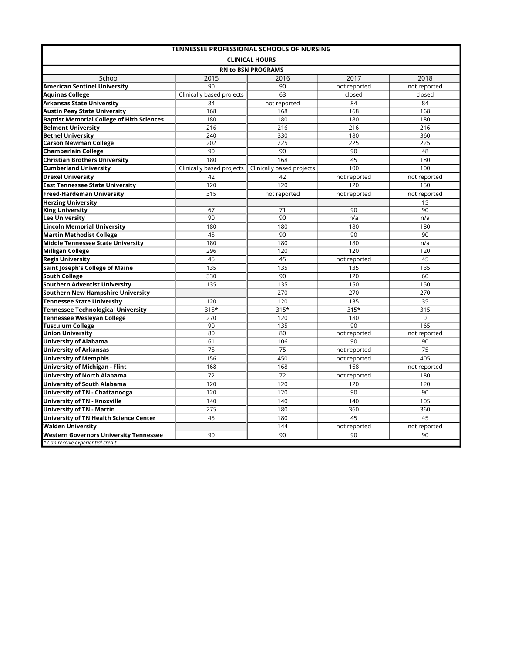|                                                  |                           | <b>TENNESSEE PROFESSIONAL SCHOOLS OF NURSING</b> |              |              |
|--------------------------------------------------|---------------------------|--------------------------------------------------|--------------|--------------|
|                                                  |                           | <b>CLINICAL HOURS</b>                            |              |              |
|                                                  |                           | <b>RN to BSN PROGRAMS</b>                        |              |              |
| School                                           | 2015                      | 2016                                             | 2017         | 2018         |
| <b>American Sentinel University</b>              | 90                        | 90                                               | not reported | not reported |
| <b>Aquinas College</b>                           | Clinically based projects | 63                                               | closed       | closed       |
| <b>Arkansas State University</b>                 | 84                        | not reported                                     | 84           | 84           |
| <b>Austin Peay State University</b>              | 168                       | 168                                              | 168          | 168          |
| <b>Baptist Memorial College of Hith Sciences</b> | 180                       | 180                                              | 180          | 180          |
| <b>Belmont University</b>                        | 216                       | 216                                              | 216          | 216          |
| <b>Bethel University</b>                         | 240                       | 330                                              | 180          | 360          |
| <b>Carson Newman College</b>                     | 202                       | 225                                              | 225          | 225          |
| <b>Chamberlain College</b>                       | 90                        | 90                                               | 90           | 48           |
| <b>Christian Brothers University</b>             | 180                       | 168                                              | 45           | 180          |
| <b>Cumberland University</b>                     | Clinically based projects | Clinically based projects                        | 100          | 100          |
| <b>Drexel University</b>                         | 42                        | 42                                               | not reported | not reported |
| <b>East Tennessee State University</b>           | 120                       | 120                                              | 120          | 150          |
| Freed-Hardeman University                        | 315                       | not reported                                     | not reported | not reported |
| <b>Herzing University</b>                        |                           |                                                  |              | 15           |
| <b>King University</b>                           | 67                        | $\overline{71}$                                  | 90           | 90           |
| <b>Lee University</b>                            | 90                        | 90                                               | n/a          | n/a          |
| <b>Lincoln Memorial University</b>               | 180                       | 180                                              | 180          | 180          |
| <b>Martin Methodist College</b>                  | 45                        | 90                                               | 90           | 90           |
| <b>Middle Tennessee State University</b>         | 180                       | 180                                              | 180          | n/a          |
| <b>Milligan College</b>                          | 296                       | 120                                              | 120          | 120          |
| <b>Regis University</b>                          | 45                        | 45                                               | not reported | 45           |
| Saint Joseph's College of Maine                  | 135                       | 135                                              | 135          | 135          |
| <b>South College</b>                             | 330                       | 90                                               | 120          | 60           |
| <b>Southern Adventist University</b>             | 135                       | 135                                              | 150          | 150          |
| <b>Southern New Hampshire University</b>         |                           | 270                                              | 270          | 270          |
| <b>Tennessee State University</b>                | 120                       | 120                                              | 135          | 35           |
| <b>Tennessee Technological University</b>        | $315*$                    | $315*$                                           | $315*$       | 315          |
| Tennessee Wesleyan College                       | 270                       | 120                                              | 180          | $\Omega$     |
| <b>Tusculum College</b>                          | 90                        | 135                                              | 90           | 165          |
| <b>Union University</b>                          | 80                        | 80                                               | not reported | not reported |
| <b>University of Alabama</b>                     | 61                        | 106                                              | 90           | 90           |
| <b>University of Arkansas</b>                    | 75                        | 75                                               | not reported | 75           |
| <b>University of Memphis</b>                     | 156                       | 450                                              | not reported | 405          |
| <b>University of Michigan - Flint</b>            | 168                       | 168                                              | 168          | not reported |
| <b>University of North Alabama</b>               | 72                        | 72                                               | not reported | 180          |
| <b>University of South Alabama</b>               | 120                       | 120                                              | 120          | 120          |
| <b>University of TN - Chattanooga</b>            | 120                       | 120                                              | 90           | 90           |
| <b>University of TN - Knoxville</b>              | 140                       | 140                                              | 140          | 105          |
| <b>University of TN - Martin</b>                 | 275                       | 180                                              | 360          | 360          |
| <b>University of TN Health Science Center</b>    | 45                        | 180                                              | 45           | 45           |
| <b>Walden University</b>                         |                           | 144                                              | not reported | not reported |
| <b>Western Governors University Tennessee</b>    | 90                        | 90                                               | 90           | 90           |
| * Can receive experiential credit                |                           |                                                  |              |              |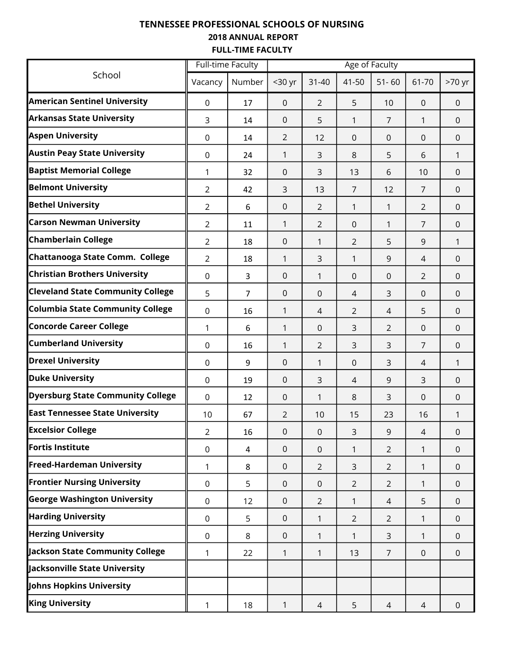### TENNESSEE PROFESSIONAL SCHOOLS OF NURSING 2018 ANNUAL REPORT FULL-TIME FACULTY

|                                          | <b>Full-time Faculty</b> |                | Age of Faculty      |                |                |                |                |              |
|------------------------------------------|--------------------------|----------------|---------------------|----------------|----------------|----------------|----------------|--------------|
| School                                   | Vacancy                  | Number         | <30 yr              | $31 - 40$      | 41-50          | $51 - 60$      | 61-70          | $>70$ yr     |
| <b>American Sentinel University</b>      | $\mathbf 0$              | 17             | $\mathbf 0$         | $\overline{2}$ | 5              | 10             | $\overline{0}$ | $\mathbf 0$  |
| <b>Arkansas State University</b>         | 3                        | 14             | $\mathbf 0$         | 5              | 1              | $\overline{7}$ | 1              | $\mathbf 0$  |
| <b>Aspen University</b>                  | 0                        | 14             | 2                   | 12             | 0              | 0              | $\mathbf 0$    | $\mathbf 0$  |
| <b>Austin Peay State University</b>      | 0                        | 24             | 1                   | 3              | 8              | 5              | 6              | 1            |
| <b>Baptist Memorial College</b>          | 1                        | 32             | $\mathbf 0$         | 3              | 13             | 6              | 10             | $\mathbf 0$  |
| <b>Belmont University</b>                | $\overline{2}$           | 42             | 3                   | 13             | $\overline{7}$ | 12             | $\overline{7}$ | $\mathbf 0$  |
| <b>Bethel University</b>                 | $\overline{2}$           | 6              | $\mathbf 0$         | 2              | 1              | 1              | $\overline{2}$ | $\mathbf 0$  |
| <b>Carson Newman University</b>          | $\overline{2}$           | 11             | 1                   | $\overline{2}$ | 0              | 1              | $\overline{7}$ | $\mathbf{0}$ |
| <b>Chamberlain College</b>               | $\overline{2}$           | 18             | $\mathbf 0$         | 1              | 2              | 5              | 9              | 1            |
| Chattanooga State Comm. College          | $\overline{2}$           | 18             | 1                   | 3              | 1              | 9              | $\overline{4}$ | $\mathbf 0$  |
| <b>Christian Brothers University</b>     | 0                        | $\overline{3}$ | $\mathbf 0$         | 1              | 0              | $\mathbf 0$    | $\overline{2}$ | $\mathbf 0$  |
| <b>Cleveland State Community College</b> | 5                        | $\overline{7}$ | $\mathbf 0$         | $\Omega$       | $\overline{4}$ | 3              | $\mathbf 0$    | $\mathbf{0}$ |
| <b>Columbia State Community College</b>  | 0                        | 16             | 1                   | 4              | 2              | $\overline{4}$ | 5              | $\Omega$     |
| <b>Concorde Career College</b>           | 1                        | 6              | 1                   | $\Omega$       | 3              | $\overline{2}$ | $\mathbf 0$    | $\mathbf 0$  |
| <b>Cumberland University</b>             | 0                        | 16             | 1                   | 2              | 3              | 3              | $\overline{7}$ | $\mathbf 0$  |
| <b>Drexel University</b>                 | 0                        | 9              | $\mathbf 0$         | 1              | 0              | 3              | $\overline{4}$ | 1            |
| <b>Duke University</b>                   | 0                        | 19             | $\mathbf 0$         | 3              | 4              | 9              | 3              | $\Omega$     |
| <b>Dyersburg State Community College</b> | $\mathbf 0$              | 12             | $\mathbf 0$         | 1              | 8              | 3              | 0              | $\mathbf 0$  |
| <b>East Tennessee State University</b>   | 10                       | 67             | $\overline{2}$      | 10             | 15             | 23             | 16             | 1            |
| <b>Excelsior College</b>                 | $\overline{2}$           | 16             | $\mathsf{O}\xspace$ | $\Omega$       | $\overline{3}$ | 9              | $\overline{4}$ | $\mathbf 0$  |
| <b>Fortis Institute</b>                  | $\mathbf 0$              | 4              | $\mathbf 0$         | $\mathbf 0$    | 1              | $\overline{2}$ | 1              | $\mathbf 0$  |
| <b>Freed-Hardeman University</b>         | 1                        | 8              | $\mathbf 0$         | $\overline{2}$ | 3              | $\overline{2}$ | 1              | $\mathbf{0}$ |
| <b>Frontier Nursing University</b>       | 0                        | 5              | $\mathbf 0$         | $\Omega$       | 2              | $\overline{2}$ | 1              | $\Omega$     |
| <b>George Washington University</b>      | $\mathbf 0$              | 12             | $\mathbf 0$         | $\overline{2}$ | 1              | 4              | 5              | $\mathbf 0$  |
| <b>Harding University</b>                | 0                        | 5              | $\mathbf 0$         | 1              | $\overline{2}$ | $\overline{2}$ | 1              | $\mathbf 0$  |
| <b>Herzing University</b>                | 0                        | 8              | $\mathbf 0$         | 1              | 1              | 3              | 1              | $\mathbf{0}$ |
| Jackson State Community College          | 1                        | 22             | 1                   | 1              | 13             | $\overline{7}$ | $\mathbf 0$    | $\mathbf 0$  |
| Jacksonville State University            |                          |                |                     |                |                |                |                |              |
| Johns Hopkins University                 |                          |                |                     |                |                |                |                |              |
| <b>King University</b>                   | 1                        | 18             | 1                   | $\overline{4}$ | 5              | $\overline{4}$ | 4              | $\mathbf 0$  |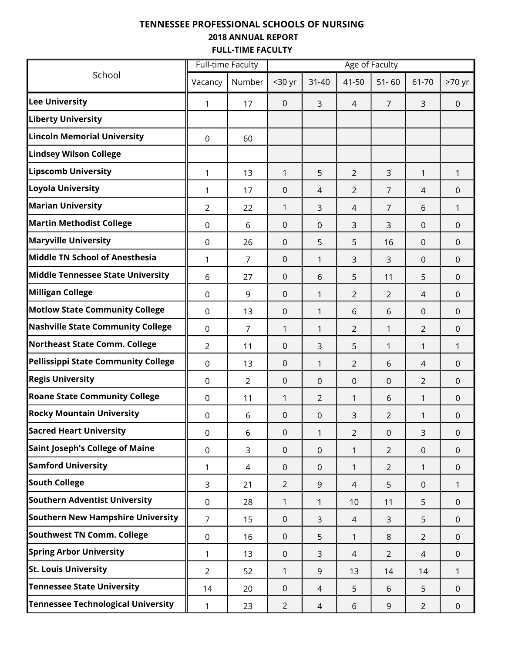### TENNESSEE PROFESSIONAL SCHOOLS OF NURSING 2018 ANNUAL REPORT FULL-TIME FACULTY

|                                           | <b>Full-time Faculty</b> |                | Age of Faculty |                |                |                |                |                  |  |  |  |
|-------------------------------------------|--------------------------|----------------|----------------|----------------|----------------|----------------|----------------|------------------|--|--|--|
| School                                    | Vacancy                  | Number         | $30$ yr        | $31 - 40$      | 41-50          | $51 - 60$      | 61-70          | $>70$ yr         |  |  |  |
| <b>Lee University</b>                     | 1                        | 17             | $\overline{0}$ | 3              | 4              | $\overline{7}$ | 3              | $\mathbf 0$      |  |  |  |
| <b>Liberty University</b>                 |                          |                |                |                |                |                |                |                  |  |  |  |
| <b>Lincoln Memorial University</b>        | $\mathbf 0$              | 60             |                |                |                |                |                |                  |  |  |  |
| <b>Lindsey Wilson College</b>             |                          |                |                |                |                |                |                |                  |  |  |  |
| <b>Lipscomb University</b>                | 1                        | 13             | 1              | 5              | $\overline{2}$ | 3              | $\mathbf{1}$   | 1                |  |  |  |
| Loyola University                         | 1                        | 17             | $\Omega$       | 4              | $\overline{2}$ | $\overline{7}$ | 4              | $\mathbf 0$      |  |  |  |
| <b>Marian University</b>                  | $\overline{2}$           | 22             | 1              | 3              | 4              | 7              | 6              | 1                |  |  |  |
| <b>Martin Methodist College</b>           | $\mathbf 0$              | 6              | $\mathbf 0$    | $\mathbf 0$    | 3              | 3              | $\mathbf 0$    | $\mathbf{0}$     |  |  |  |
| <b>Maryville University</b>               | 0                        | 26             | $\Omega$       | 5              | 5              | 16             | $\mathbf 0$    | $\Omega$         |  |  |  |
| <b>Middle TN School of Anesthesia</b>     | 1                        | $\overline{7}$ | $\overline{0}$ | 1              | 3              | 3              | $\Omega$       | $\mathbf{0}$     |  |  |  |
| <b>Middle Tennessee State University</b>  | 6                        | 27             | $\mathbf 0$    | 6              | 5              | 11             | 5              | $\mathbf 0$      |  |  |  |
| <b>Milligan College</b>                   | $\mathbf 0$              | 9              | $\mathbf 0$    | 1              | $\overline{2}$ | $\overline{2}$ | 4              | $\mathbf 0$      |  |  |  |
| <b>Motlow State Community College</b>     | $\mathbf 0$              | 13             | 0              | 1              | 6              | 6              | $\mathbf 0$    | $\mathbf{0}$     |  |  |  |
| <b>Nashville State Community College</b>  | $\mathbf 0$              | $\overline{7}$ | 1              | 1              | 2              | 1              | $\overline{2}$ | $\mathbf 0$      |  |  |  |
| <b>Northeast State Comm. College</b>      | 2                        | 11             | $\mathbf 0$    | 3              | 5              | 1              | $\mathbf{1}$   | 1                |  |  |  |
| Pellissippi State Community College       | $\mathbf 0$              | 13             | $\mathbf 0$    | 1              | $\overline{2}$ | 6              | 4              | $\mathbf 0$      |  |  |  |
| <b>Regis University</b>                   | 0                        | $\overline{2}$ | $\Omega$       | $\Omega$       | 0              | 0              | $\overline{2}$ | $\Omega$         |  |  |  |
| <b>Roane State Community College</b>      | $\mathbf 0$              | 11             | 1              | $\overline{2}$ | 1              | 6              | 1              | $\mathbf{0}$     |  |  |  |
| <b>Rocky Mountain University</b>          | 0                        | 6              | $\mathbf 0$    | 0              | 3              | $\overline{2}$ | 1              | $\boldsymbol{0}$ |  |  |  |
| <b>Sacred Heart University</b>            | $\mathbf 0$              | 6              | 0              | 1              | $\overline{2}$ | $\mathbf 0$    | 3              | $\mathbf 0$      |  |  |  |
| Saint Joseph's College of Maine           | $\mathbf 0$              | 3              | $\mathbf 0$    | $\mathbf 0$    | 1              | $\overline{2}$ | $\overline{0}$ | $\mathbf 0$      |  |  |  |
| <b>Samford University</b>                 | 1                        | 4              | $\mathbf 0$    | $\mathbf{0}$   | 1              | $\overline{2}$ | $\mathbf{1}$   | $\mathbf{0}$     |  |  |  |
| <b>South College</b>                      | 3                        | 21             | $\overline{2}$ | 9              | 4              | 5              | $\overline{0}$ | 1                |  |  |  |
| Southern Adventist University             | $\mathbf 0$              | 28             | 1              | 1              | 10             | 11             | 5              | $\mathbf{0}$     |  |  |  |
| Southern New Hampshire University         | $\overline{7}$           | 15             | $\mathbf 0$    | 3              | 4              | 3              | 5              | $\mathbf 0$      |  |  |  |
| Southwest TN Comm. College                | $\mathsf 0$              | 16             | $\mathbf 0$    | 5              | 1              | 8              | $\overline{2}$ | $\mathbf{0}$     |  |  |  |
| <b>Spring Arbor University</b>            | 1                        | 13             | $\mathbf 0$    | 3              | 4              | $\overline{2}$ | 4              | $\Omega$         |  |  |  |
| <b>St. Louis University</b>               | $\overline{2}$           | 52             | 1              | 9              | 13             | 14             | 14             | 1                |  |  |  |
| <b>Tennessee State University</b>         | 14                       | 20             | $\mathbf 0$    | 4              | 5              | 6              | 5              | $\mathbf 0$      |  |  |  |
| <b>Tennessee Technological University</b> | 1                        | 23             | $\overline{2}$ | 4              | 6              | 9              | $\overline{2}$ | $\mathbf 0$      |  |  |  |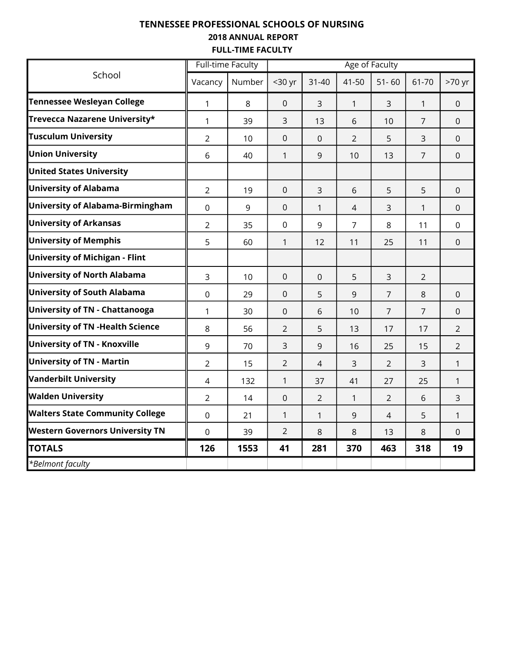### TENNESSEE PROFESSIONAL SCHOOLS OF NURSING 2018 ANNUAL REPORT FULL-TIME FACULTY

|                                          | <b>Full-time Faculty</b> |        |                |                |                | Age of Faculty |                |                |
|------------------------------------------|--------------------------|--------|----------------|----------------|----------------|----------------|----------------|----------------|
| School                                   | Vacancy                  | Number | <30 yr         | $31 - 40$      | 41-50          | $51 - 60$      | 61-70          | >70 yr         |
| <b>Tennessee Wesleyan College</b>        | 1                        | 8      | $\mathbf 0$    | 3              | $\mathbf{1}$   | 3              | $\mathbf{1}$   | $\overline{0}$ |
| Trevecca Nazarene University*            | 1                        | 39     | 3              | 13             | 6              | 10             | $\overline{7}$ | $\Omega$       |
| <b>Tusculum University</b>               | $\overline{2}$           | 10     | $\overline{0}$ | $\overline{0}$ | $\overline{2}$ | 5              | 3              | $\overline{0}$ |
| <b>Union University</b>                  | 6                        | 40     | $\mathbf{1}$   | 9              | 10             | 13             | $\overline{7}$ | $\overline{0}$ |
| <b>United States University</b>          |                          |        |                |                |                |                |                |                |
| <b>University of Alabama</b>             | $\overline{2}$           | 19     | $\mathbf 0$    | 3              | 6              | 5              | 5              | $\overline{0}$ |
| <b>University of Alabama-Birmingham</b>  | $\mathbf 0$              | 9      | $\Omega$       | $\mathbf{1}$   | 4              | 3              | 1              | $\Omega$       |
| <b>University of Arkansas</b>            | $\overline{2}$           | 35     | $\mathbf 0$    | 9              | $\overline{7}$ | 8              | 11             | $\overline{0}$ |
| <b>University of Memphis</b>             | 5                        | 60     | $\mathbf{1}$   | 12             | 11             | 25             | 11             | $\mathbf{0}$   |
| University of Michigan - Flint           |                          |        |                |                |                |                |                |                |
| <b>University of North Alabama</b>       | 3                        | 10     | $\overline{0}$ | $\Omega$       | 5              | 3              | $\overline{2}$ |                |
| <b>University of South Alabama</b>       | $\mathbf 0$              | 29     | $\overline{0}$ | 5              | 9              | $\overline{7}$ | 8              | $\Omega$       |
| University of TN - Chattanooga           | 1                        | 30     | $\mathbf 0$    | 6              | 10             | $\overline{7}$ | $\overline{7}$ | $\mathbf 0$    |
| <b>University of TN - Health Science</b> | 8                        | 56     | $\overline{2}$ | 5              | 13             | 17             | 17             | $\overline{2}$ |
| <b>University of TN - Knoxville</b>      | 9                        | 70     | 3              | 9              | 16             | 25             | 15             | $\overline{2}$ |
| <b>University of TN - Martin</b>         | $\overline{2}$           | 15     | $\overline{2}$ | 4              | 3              | $\overline{2}$ | 3              | 1              |
| <b>Vanderbilt University</b>             | 4                        | 132    | $\mathbf{1}$   | 37             | 41             | 27             | 25             | $\mathbf{1}$   |
| <b>Walden University</b>                 | $\overline{2}$           | 14     | $\overline{0}$ | $\overline{2}$ | 1              | 2              | 6              | $\overline{3}$ |
| <b>Walters State Community College</b>   | $\mathbf 0$              | 21     | $\mathbf{1}$   | 1              | 9              | 4              | 5              | 1              |
| <b>Western Governors University TN</b>   | $\overline{0}$           | 39     | $\overline{2}$ | 8              | 8              | 13             | 8              | $\Omega$       |
| <b>TOTALS</b>                            | 126                      | 1553   | 41             | 281            | 370            | 463            | 318            | 19             |
| *Belmont faculty                         |                          |        |                |                |                |                |                |                |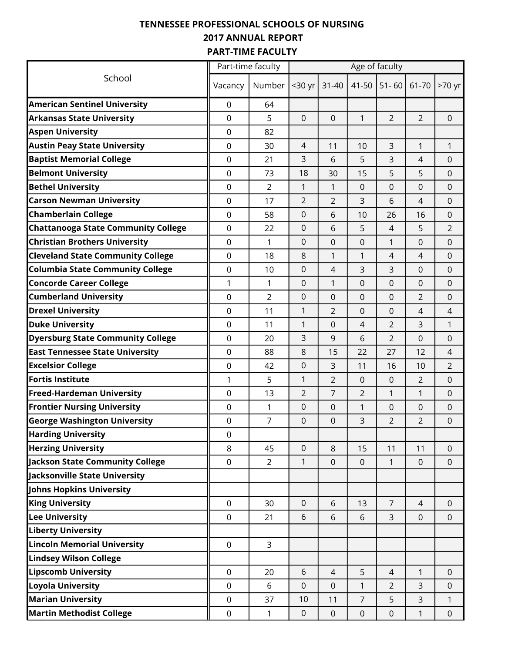## TENNESSEE PROFESSIONAL SCHOOLS OF NURSING 2017 ANNUAL REPORT PART-TIME FACULTY

|                                            |             | Part-time faculty | Age of faculty |                  |                  |                  |                |                |  |  |
|--------------------------------------------|-------------|-------------------|----------------|------------------|------------------|------------------|----------------|----------------|--|--|
| School                                     | Vacancy     | Number            | <30 yr         | $31 - 40$        | 41-50            | $51 - 60$        | 61-70          | >70 yr         |  |  |
| <b>American Sentinel University</b>        | 0           | 64                |                |                  |                  |                  |                |                |  |  |
| <b>Arkansas State University</b>           | 0           | 5                 | $\mathbf 0$    | $\mathbf 0$      | $\mathbf{1}$     | $\overline{2}$   | $\overline{2}$ | $\mathbf 0$    |  |  |
| <b>Aspen University</b>                    | 0           | 82                |                |                  |                  |                  |                |                |  |  |
| <b>Austin Peay State University</b>        | 0           | 30                | 4              | 11               | 10               | 3                | 1              | 1              |  |  |
| <b>Baptist Memorial College</b>            | 0           | 21                | 3              | 6                | 5                | 3                | 4              | 0              |  |  |
| <b>Belmont University</b>                  | 0           | 73                | 18             | 30               | 15               | 5                | 5              | 0              |  |  |
| <b>Bethel University</b>                   | $\Omega$    | $\overline{2}$    | 1              | 1                | $\Omega$         | 0                | 0              | $\mathbf 0$    |  |  |
| <b>Carson Newman University</b>            | 0           | 17                | $\overline{2}$ | 2                | 3                | 6                | 4              | $\mathbf 0$    |  |  |
| <b>Chamberlain College</b>                 | 0           | 58                | 0              | 6                | 10               | 26               | 16             | 0              |  |  |
| <b>Chattanooga State Community College</b> | 0           | 22                | $\Omega$       | 6                | 5                | $\overline{4}$   | 5              | $\overline{2}$ |  |  |
| <b>Christian Brothers University</b>       | 0           | 1                 | $\Omega$       | $\mathbf 0$      | $\mathbf 0$      | $\mathbf{1}$     | 0              | $\mathbf 0$    |  |  |
| <b>Cleveland State Community College</b>   | 0           | 18                | 8              | 1                | 1                | 4                | $\overline{4}$ | $\mathbf 0$    |  |  |
| <b>Columbia State Community College</b>    | 0           | 10                | 0              | 4                | 3                | 3                | 0              | 0              |  |  |
| <b>Concorde Career College</b>             | 1           | 1                 | 0              | 1                | $\Omega$         | 0                | 0              | $\mathbf 0$    |  |  |
| <b>Cumberland University</b>               | $\mathbf 0$ | 2                 | 0              | $\mathbf 0$      | $\Omega$         | 0                | $\overline{2}$ | 0              |  |  |
| <b>Drexel University</b>                   | $\Omega$    | 11                | 1              | $\overline{2}$   | $\Omega$         | $\Omega$         | 4              | 4              |  |  |
| <b>Duke University</b>                     | 0           | 11                | 1              | $\mathbf 0$      | $\overline{4}$   | $\overline{2}$   | 3              | 1              |  |  |
| <b>Dyersburg State Community College</b>   | 0           | 20                | 3              | 9                | 6                | 2                | 0              | 0              |  |  |
| <b>East Tennessee State University</b>     | 0           | 88                | 8              | 15               | 22               | 27               | 12             | 4              |  |  |
| <b>Excelsior College</b>                   | 0           | 42                | $\mathbf 0$    | 3                | 11               | 16               | 10             | $\overline{2}$ |  |  |
| <b>Fortis Institute</b>                    | 1           | 5                 | 1              | $\overline{2}$   | 0                | 0                | $\overline{2}$ | $\mathbf 0$    |  |  |
| <b>Freed-Hardeman University</b>           | 0           | 13                | $\overline{2}$ | $\overline{7}$   | $\overline{2}$   | 1                | 1              | $\pmb{0}$      |  |  |
| <b>Frontier Nursing University</b>         | 0           | 1                 | 0              | 0                | 1                | 0                | 0              | 0              |  |  |
| <b>George Washington University</b>        | 0           | 7                 | 0              | $\mathbf 0$      | 3                | $\overline{2}$   | $\overline{2}$ | $\mathbf 0$    |  |  |
| <b>Harding University</b>                  | 0           |                   |                |                  |                  |                  |                |                |  |  |
| <b>Herzing University</b>                  | 8           | 45                | $\mathbf 0$    | 8                | 15               | 11               | 11             | $\overline{0}$ |  |  |
| <b>Jackson State Community College</b>     | $\mathbf 0$ | $\overline{2}$    | 1              | $\pmb{0}$        | $\pmb{0}$        | 1                | 0              | $\mathbf 0$    |  |  |
| Jacksonville State University              |             |                   |                |                  |                  |                  |                |                |  |  |
| Johns Hopkins University                   |             |                   |                |                  |                  |                  |                |                |  |  |
| <b>King University</b>                     | $\mathbf 0$ | 30                | $\mathbf 0$    | 6                | 13               | $\overline{7}$   | $\overline{4}$ | $\mathbf 0$    |  |  |
| <b>Lee University</b>                      | $\mathbf 0$ | 21                | 6              | 6                | 6                | 3                | 0              | $\pmb{0}$      |  |  |
| <b>Liberty University</b>                  |             |                   |                |                  |                  |                  |                |                |  |  |
| <b>Lincoln Memorial University</b>         | $\mathbf 0$ | 3                 |                |                  |                  |                  |                |                |  |  |
| <b>Lindsey Wilson College</b>              |             |                   |                |                  |                  |                  |                |                |  |  |
| <b>Lipscomb University</b>                 | $\mathbf 0$ | 20                | 6              | $\overline{4}$   | 5                | $\overline{4}$   | 1              | $\mathbf 0$    |  |  |
| Loyola University                          | 0           | 6                 | $\mathbf 0$    | $\mathbf 0$      | 1                | $\overline{2}$   | 3              | $\mathbf 0$    |  |  |
| <b>Marian University</b>                   | $\mathbf 0$ | 37                | 10             | 11               | $\overline{7}$   | 5                | 3              | $\mathbf{1}$   |  |  |
| <b>Martin Methodist College</b>            | $\mathsf 0$ | 1                 | 0              | $\boldsymbol{0}$ | $\boldsymbol{0}$ | $\boldsymbol{0}$ | $\mathbf{1}$   | $\pmb{0}$      |  |  |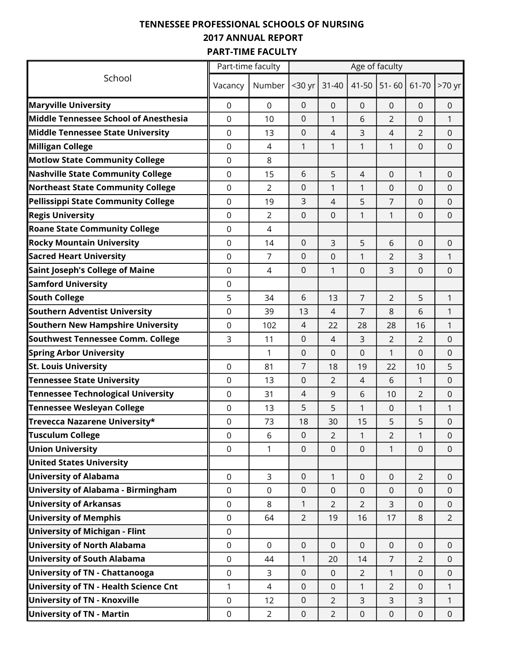## TENNESSEE PROFESSIONAL SCHOOLS OF NURSING 2017 ANNUAL REPORT PART-TIME FACULTY

|                                           |                  | Part-time faculty |                  |                  |                | Age of faculty |                  |                     |
|-------------------------------------------|------------------|-------------------|------------------|------------------|----------------|----------------|------------------|---------------------|
| School                                    | Vacancy          | Number            | <30 yr           | $31 - 40$        | 41-50          | $51 - 60$      | 61-70            | >70 yr              |
| <b>Maryville University</b>               | $\mathbf 0$      | $\Omega$          | $\mathbf 0$      | $\mathbf 0$      | $\Omega$       | 0              | 0                | $\mathbf 0$         |
| Middle Tennessee School of Anesthesia     | $\mathbf 0$      | 10                | $\overline{0}$   | 1                | 6              | $\overline{2}$ | 0                | $\mathbf{1}$        |
| Middle Tennessee State University         | $\overline{0}$   | 13                | $\Omega$         | $\overline{4}$   | 3              | $\overline{4}$ | $\overline{2}$   | $\mathbf 0$         |
| Milligan College                          | $\mathbf 0$      | 4                 | 1                | 1                | 1              | 1              | 0                | $\mathbf 0$         |
| <b>Motlow State Community College</b>     | $\boldsymbol{0}$ | 8                 |                  |                  |                |                |                  |                     |
| <b>Nashville State Community College</b>  | $\mathbf 0$      | 15                | 6                | 5                | $\overline{4}$ | $\mathbf 0$    | 1                | $\mathbf 0$         |
| <b>Northeast State Community College</b>  | $\mathbf 0$      | $\overline{2}$    | $\mathbf 0$      | 1                | $\mathbf{1}$   | $\mathbf 0$    | 0                | $\mathbf 0$         |
| Pellissippi State Community College       | $\mathbf 0$      | 19                | 3                | 4                | 5              | $\overline{7}$ | 0                | $\mathbf 0$         |
| <b>Regis University</b>                   | $\mathbf 0$      | $\overline{2}$    | $\mathbf 0$      | $\mathbf 0$      | 1              | 1              | 0                | 0                   |
| <b>Roane State Community College</b>      | $\mathbf 0$      | $\overline{4}$    |                  |                  |                |                |                  |                     |
| <b>Rocky Mountain University</b>          | $\mathbf 0$      | 14                | $\mathbf 0$      | 3                | 5              | 6              | 0                | $\mathbf 0$         |
| <b>Sacred Heart University</b>            | $\overline{0}$   | 7                 | $\overline{0}$   | $\mathbf 0$      | $\mathbf{1}$   | $\overline{2}$ | 3                | $\mathbf{1}$        |
| Saint Joseph's College of Maine           | $\mathbf 0$      | 4                 | $\mathbf 0$      | 1                | $\mathbf 0$    | 3              | 0                | $\mathbf 0$         |
| <b>Samford University</b>                 | $\boldsymbol{0}$ |                   |                  |                  |                |                |                  |                     |
| <b>South College</b>                      | 5                | 34                | 6                | 13               | $\overline{7}$ | $\overline{2}$ | 5                | 1                   |
| Southern Adventist University             | $\mathbf 0$      | 39                | 13               | 4                | $\overline{7}$ | 8              | 6                | $\mathbf{1}$        |
| Southern New Hampshire University         | $\mathbf 0$      | 102               | $\overline{4}$   | 22               | 28             | 28             | 16               | $\mathbf{1}$        |
| Southwest Tennessee Comm. College         | 3                | 11                | $\boldsymbol{0}$ | 4                | 3              | $\overline{2}$ | $\overline{2}$   | 0                   |
| <b>Spring Arbor University</b>            |                  | $\mathbf{1}$      | $\mathbf 0$      | $\Omega$         | $\overline{0}$ | 1              | 0                | 0                   |
| <b>St. Louis University</b>               | $\mathbf 0$      | 81                | $\overline{7}$   | 18               | 19             | 22             | 10               | 5                   |
| <b>Tennessee State University</b>         | $\overline{0}$   | 13                | $\mathbf 0$      | $\overline{2}$   | $\overline{4}$ | 6              | $\mathbf{1}$     | $\mathbf 0$         |
| <b>Tennessee Technological University</b> | $\mathbf 0$      | 31                | $\overline{4}$   | 9                | 6              | 10             | $\overline{2}$   | $\mathbf 0$         |
| <b>Tennessee Wesleyan College</b>         | $\boldsymbol{0}$ | 13                | 5                | 5                | 1              | 0              | 1                | 1                   |
| Trevecca Nazarene University*             | 0                | 73                | 18               | 30               | 15             | 5              | 5                | 0                   |
| <b>Tusculum College</b>                   | $\mathbf 0$      | 6                 | $\boldsymbol{0}$ | $\overline{2}$   | $\mathbf{1}$   | $\overline{2}$ | $\mathbf{1}$     | $\boldsymbol{0}$    |
| <b>Union University</b>                   | $\overline{0}$   | 1                 | $\mathbf 0$      | $\mathbf 0$      | $\overline{0}$ | $\mathbf{1}$   | $\mathbf 0$      | $\mathsf{O}\xspace$ |
| <b>United States University</b>           |                  |                   |                  |                  |                |                |                  |                     |
| <b>University of Alabama</b>              | $\overline{0}$   | 3                 | $\mathbf 0$      | $\mathbf{1}$     | $\mathbf 0$    | $\mathbf 0$    | $\overline{2}$   | $\mathbf 0$         |
| University of Alabama - Birmingham        | $\overline{0}$   | $\mathsf{O}$      | $\mathbf 0$      | $\mathbf 0$      | $\overline{0}$ | $\mathbf 0$    | $\mathbf 0$      | $\mathbf 0$         |
| <b>University of Arkansas</b>             | $\overline{0}$   | 8                 | $\mathbf{1}$     | $\overline{2}$   | $\overline{2}$ | 3              | $\mathbf 0$      | $\pmb{0}$           |
| <b>University of Memphis</b>              | $\mathbf 0$      | 64                | $\overline{2}$   | 19               | 16             | 17             | 8                | $\overline{2}$      |
| <b>University of Michigan - Flint</b>     | $\boldsymbol{0}$ |                   |                  |                  |                |                |                  |                     |
| University of North Alabama               | $\mathbf 0$      | $\mathbf 0$       | $\mathbf 0$      | $\overline{0}$   | $\overline{0}$ | $\mathbf 0$    | $\mathbf 0$      | $\mathbf 0$         |
| University of South Alabama               | $\mathbf 0$      | 44                | $\mathbf{1}$     | 20               | 14             | $\overline{7}$ | $\overline{2}$   | $\overline{0}$      |
| University of TN - Chattanooga            | $\mathbf 0$      | 3                 | $\mathbf 0$      | $\mathbf 0$      | $\overline{2}$ | $\mathbf{1}$   | $\mathbf 0$      | $\pmb{0}$           |
| University of TN - Health Science Cnt     | $\mathbf{1}$     | 4                 | $\boldsymbol{0}$ | $\boldsymbol{0}$ | $\mathbf{1}$   | $\overline{2}$ | $\mathbf 0$      | $\mathbf{1}$        |
| <b>University of TN - Knoxville</b>       | 0                | 12                | $\boldsymbol{0}$ | $\overline{2}$   | 3              | 3              | 3                | 1                   |
| <b>University of TN - Martin</b>          | $\pmb{0}$        | $\overline{2}$    | $\boldsymbol{0}$ | $\overline{2}$   | $\pmb{0}$      | 0              | $\boldsymbol{0}$ | 0                   |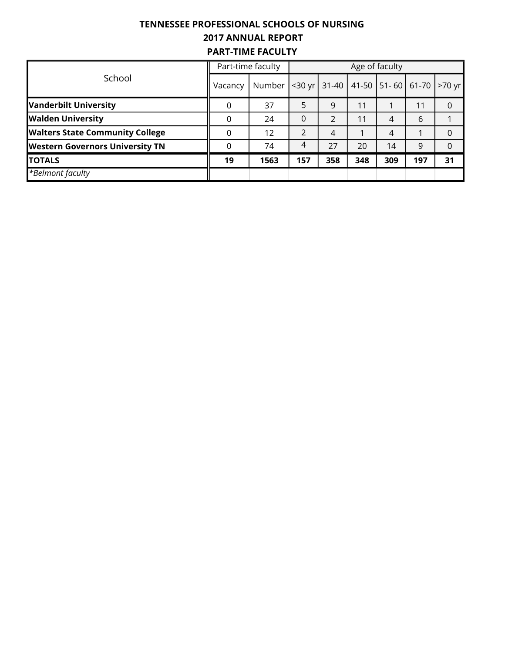# TENNESSEE PROFESSIONAL SCHOOLS OF NURSING 2017 ANNUAL REPORT PART-TIME FACULTY

|                                        |         | Part-time faculty | Age of faculty    |     |     |                                        |     |          |  |  |
|----------------------------------------|---------|-------------------|-------------------|-----|-----|----------------------------------------|-----|----------|--|--|
| School                                 | Vacancy | Number            | $<$ 30 yr $\vert$ |     |     | 31-40   41-50   51-60   61-70   >70 yr |     |          |  |  |
| <b>Vanderbilt University</b>           | 0       | 37                | 5                 | 9   | 11  |                                        | 11  |          |  |  |
| <b>Walden University</b>               | 0       | 24                | $\Omega$          | 2   | 11  | 4                                      | 6   |          |  |  |
| <b>Walters State Community College</b> | 0       | 12                | $\mathfrak{D}$    | 4   |     | 4                                      |     | O        |  |  |
| <b>Western Governors University TN</b> | 0       | 74                | 4                 | 27  | 20  | 14                                     | 9   | $\Omega$ |  |  |
| <b>TOTALS</b>                          | 19      | 1563              | 157               | 358 | 348 | 309                                    | 197 | 31       |  |  |
| $\overline{B}$ elmont faculty          |         |                   |                   |     |     |                                        |     |          |  |  |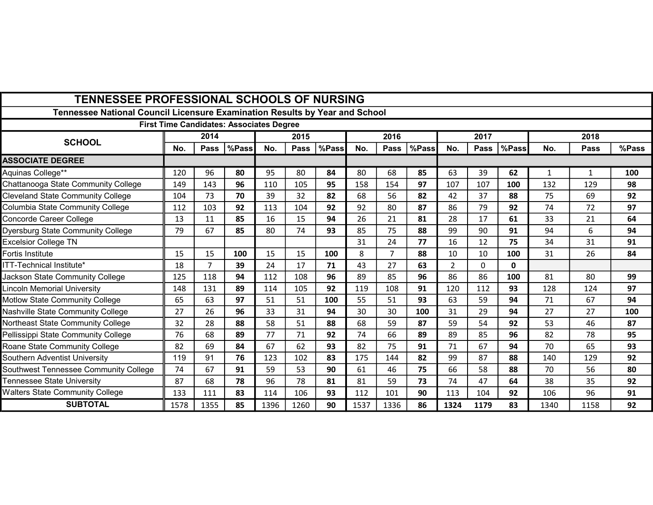| <b>TENNESSEE PROFESSIONAL SCHOOLS OF NURSING</b>                            |      |             |                                                 |      |             |       |      |                |       |                |             |       |      |              |       |
|-----------------------------------------------------------------------------|------|-------------|-------------------------------------------------|------|-------------|-------|------|----------------|-------|----------------|-------------|-------|------|--------------|-------|
| Tennessee National Council Licensure Examination Results by Year and School |      |             |                                                 |      |             |       |      |                |       |                |             |       |      |              |       |
|                                                                             |      |             | <b>First Time Candidates: Associates Degree</b> |      |             |       |      |                |       |                |             |       |      |              |       |
| <b>SCHOOL</b>                                                               |      | 2014        |                                                 |      | 2015        |       |      | 2016           |       |                | 2017        |       |      | 2018         |       |
|                                                                             | No.  | <b>Pass</b> | %Pass                                           | No.  | <b>Pass</b> | %Pass | No.  | Pass           | %Pass | No.            | <b>Pass</b> | %Pass | No.  | <b>Pass</b>  | %Pass |
| <b>ASSOCIATE DEGREE</b>                                                     |      |             |                                                 |      |             |       |      |                |       |                |             |       |      |              |       |
| Aquinas College**                                                           | 120  | 96          | 80                                              | 95   | 80          | 84    | 80   | 68             | 85    | 63             | 39          | 62    | 1    | $\mathbf{1}$ | 100   |
| Chattanooga State Community College                                         | 149  | 143         | 96                                              | 110  | 105         | 95    | 158  | 154            | 97    | 107            | 107         | 100   | 132  | 129          | 98    |
| <b>Cleveland State Community College</b>                                    | 104  | 73          | 70                                              | 39   | 32          | 82    | 68   | 56             | 82    | 42             | 37          | 88    | 75   | 69           | 92    |
| Columbia State Community College                                            | 112  | 103         | 92                                              | 113  | 104         | 92    | 92   | 80             | 87    | 86             | 79          | 92    | 74   | 72           | 97    |
| Concorde Career College                                                     | 13   | 11          | 85                                              | 16   | 15          | 94    | 26   | 21             | 81    | 28             | 17          | 61    | 33   | 21           | 64    |
| <b>Dyersburg State Community College</b>                                    | 79   | 67          | 85                                              | 80   | 74          | 93    | 85   | 75             | 88    | 99             | 90          | 91    | 94   | 6            | 94    |
| <b>Excelsior College TN</b>                                                 |      |             |                                                 |      |             |       | 31   | 24             | 77    | 16             | 12          | 75    | 34   | 31           | 91    |
| Fortis Institute                                                            | 15   | 15          | 100                                             | 15   | 15          | 100   | 8    | $\overline{7}$ | 88    | 10             | 10          | 100   | 31   | 26           | 84    |
| ITT-Technical Institute*                                                    | 18   | 7           | 39                                              | 24   | 17          | 71    | 43   | 27             | 63    | $\overline{2}$ | $\Omega$    | 0     |      |              |       |
| Jackson State Community College                                             | 125  | 118         | 94                                              | 112  | 108         | 96    | 89   | 85             | 96    | 86             | 86          | 100   | 81   | 80           | 99    |
| <b>Lincoln Memorial University</b>                                          | 148  | 131         | 89                                              | 114  | 105         | 92    | 119  | 108            | 91    | 120            | 112         | 93    | 128  | 124          | 97    |
| Motlow State Community College                                              | 65   | 63          | 97                                              | 51   | 51          | 100   | 55   | 51             | 93    | 63             | 59          | 94    | 71   | 67           | 94    |
| Nashville State Community College                                           | 27   | 26          | 96                                              | 33   | 31          | 94    | 30   | 30             | 100   | 31             | 29          | 94    | 27   | 27           | 100   |
| Northeast State Community College                                           | 32   | 28          | 88                                              | 58   | 51          | 88    | 68   | 59             | 87    | 59             | 54          | 92    | 53   | 46           | 87    |
| Pellissippi State Community College                                         | 76   | 68          | 89                                              | 77   | 71          | 92    | 74   | 66             | 89    | 89             | 85          | 96    | 82   | 78           | 95    |
| Roane State Community College                                               | 82   | 69          | 84                                              | 67   | 62          | 93    | 82   | 75             | 91    | 71             | 67          | 94    | 70   | 65           | 93    |
| Southern Adventist University                                               | 119  | 91          | 76                                              | 123  | 102         | 83    | 175  | 144            | 82    | 99             | 87          | 88    | 140  | 129          | 92    |
| Southwest Tennessee Community College                                       | 74   | 67          | 91                                              | 59   | 53          | 90    | 61   | 46             | 75    | 66             | 58          | 88    | 70   | 56           | 80    |
| Tennessee State University                                                  | 87   | 68          | 78                                              | 96   | 78          | 81    | 81   | 59             | 73    | 74             | 47          | 64    | 38   | 35           | 92    |
| <b>Walters State Community College</b>                                      | 133  | 111         | 83                                              | 114  | 106         | 93    | 112  | 101            | 90    | 113            | 104         | 92    | 106  | 96           | 91    |
| <b>SUBTOTAL</b>                                                             | 1578 | 1355        | 85                                              | 1396 | 1260        | 90    | 1537 | 1336           | 86    | 1324           | 1179        | 83    | 1340 | 1158         | 92    |